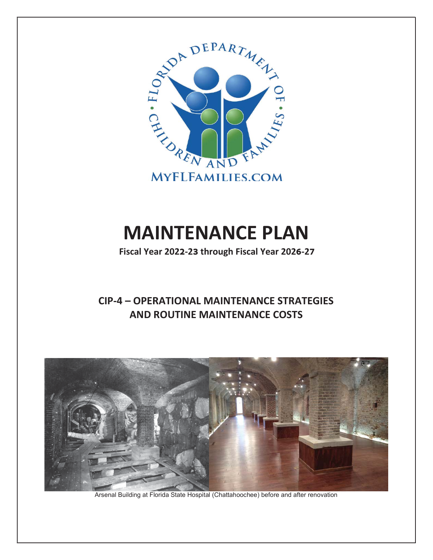

# MAINTENANCE PLAN

**Fiscal Year 2022-23 through Fiscal Year 2026-27** 

## CIP-4 – OPERATIONAL MAINTENANCE STRATEGIES AND ROUTINE MAINTENANCE COSTS



Arsenal Building at Florida State Hospital (Chattahoochee) before and after renovation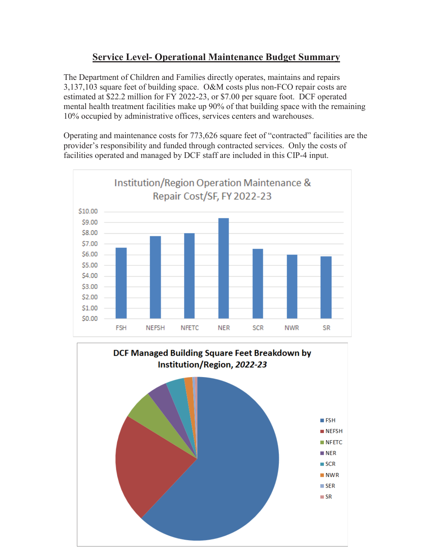## **Service Level- Operational Maintenance Budget Summary**

The Department of Children and Families directly operates, maintains and repairs  $3,137,103$  square feet of building space. O&M costs plus non-FCO repair costs are estimated at \$22.2 million for FY 2022-23, or \$7.00 per square foot. DCF operated mental health treatment facilities make up 90% of that building space with the remaining 10% occupied by administrative offices, services centers and warehouses.

Operating and maintenance costs for 773,626 square feet of "contracted" facilities are the provider's responsibility and funded through contracted services. Only the costs of facilities operated and managed by DCF staff are included in this CIP-4 input.



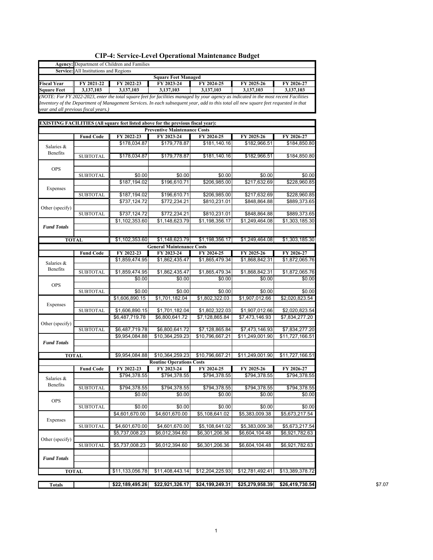|                                                                                                                                                                                                                                                                                                                                                                                                                                 |                                       | Agency: Department of Children and Families                                      |                                                |                 |                 |                            |
|---------------------------------------------------------------------------------------------------------------------------------------------------------------------------------------------------------------------------------------------------------------------------------------------------------------------------------------------------------------------------------------------------------------------------------|---------------------------------------|----------------------------------------------------------------------------------|------------------------------------------------|-----------------|-----------------|----------------------------|
|                                                                                                                                                                                                                                                                                                                                                                                                                                 | Service: All Institutions and Regions |                                                                                  |                                                |                 |                 |                            |
|                                                                                                                                                                                                                                                                                                                                                                                                                                 |                                       |                                                                                  | <b>Square Feet Managed</b>                     |                 |                 |                            |
|                                                                                                                                                                                                                                                                                                                                                                                                                                 | FY 2021-22                            | FY 2022-23                                                                       | FY 2023-24                                     | FY 2024-25      | FY 2025-26      | FY 2026-27                 |
|                                                                                                                                                                                                                                                                                                                                                                                                                                 | 3,137,103                             | 3,137,103                                                                        | 3,137,103                                      | 3,137,103       | 3,137,103       | 3,137,103                  |
|                                                                                                                                                                                                                                                                                                                                                                                                                                 |                                       |                                                                                  |                                                |                 |                 |                            |
|                                                                                                                                                                                                                                                                                                                                                                                                                                 |                                       |                                                                                  |                                                |                 |                 |                            |
|                                                                                                                                                                                                                                                                                                                                                                                                                                 |                                       |                                                                                  |                                                |                 |                 |                            |
|                                                                                                                                                                                                                                                                                                                                                                                                                                 |                                       | EXISTING FACILITIES (All square feet listed above for the previous fiscal year): |                                                |                 |                 |                            |
|                                                                                                                                                                                                                                                                                                                                                                                                                                 |                                       |                                                                                  | <b>Preventive Maintenance Costs</b>            |                 |                 |                            |
|                                                                                                                                                                                                                                                                                                                                                                                                                                 | <b>Fund Code</b>                      | FY 2022-23                                                                       | FY 2023-24                                     | FY 2024-25      | FY 2025-26      | FY 2026-27                 |
|                                                                                                                                                                                                                                                                                                                                                                                                                                 |                                       | \$178,034.87                                                                     | \$179,778.87                                   | \$181,140.16    | \$182,966.51    | \$184,850.80               |
|                                                                                                                                                                                                                                                                                                                                                                                                                                 |                                       |                                                                                  |                                                |                 |                 |                            |
|                                                                                                                                                                                                                                                                                                                                                                                                                                 | <b>SUBTOTAL</b>                       | \$178,034.87                                                                     | \$179,778.87                                   | \$181,140.16    | \$182,966.51    | \$184,850.80               |
|                                                                                                                                                                                                                                                                                                                                                                                                                                 |                                       |                                                                                  |                                                |                 |                 |                            |
|                                                                                                                                                                                                                                                                                                                                                                                                                                 | <b>SUBTOTAL</b>                       | \$0.00                                                                           | \$0.00                                         | \$0.00          | \$0.00          | \$0.00                     |
|                                                                                                                                                                                                                                                                                                                                                                                                                                 |                                       | \$187,194.02                                                                     | \$196,610.71                                   | \$206,985.00    | \$217,632.69    | \$228,960.85               |
|                                                                                                                                                                                                                                                                                                                                                                                                                                 |                                       |                                                                                  |                                                |                 |                 |                            |
|                                                                                                                                                                                                                                                                                                                                                                                                                                 | <b>SUBTOTAL</b>                       | \$187,194.02                                                                     | \$196,610.71                                   | \$206,985.00    | \$217,632.69    | \$228,960.85               |
|                                                                                                                                                                                                                                                                                                                                                                                                                                 |                                       | \$737,124.72                                                                     | \$772,234.21                                   | \$810,231.01    | \$848,864.88    | \$889,373.65               |
| Other (specify)                                                                                                                                                                                                                                                                                                                                                                                                                 |                                       |                                                                                  |                                                |                 |                 |                            |
| <b>Fiscal Year</b><br><b>Square Feet</b><br>Salaries &<br>Benefits<br><b>OPS</b><br>Expenses<br><b>Fund Totals</b><br>Salaries &<br>Benefits<br><b>OPS</b><br>Expenses<br>Other (specify)<br><b>Fund Totals</b><br>Salaries &<br>Benefits<br><b>OPS</b><br>Expenses                                                                                                                                                             | <b>SUBTOTAL</b>                       | \$737,124.72                                                                     | \$772,234.21                                   | \$810,231.01    | \$848,864.88    | \$889,373.65               |
| (NOTE: For FY 2022-2023, enter the total square feet for facilities managed by your agency as indicated in the most recent Facilities<br>Inventory of the Department of Management Services. In each subsequent year, add to this total all new square feet requested in that<br>year and all previous fiscal years.)<br><b>TOTAL</b><br><b>TOTAL</b><br>Other (specify)<br><b>Fund Totals</b><br><b>TOTAL</b><br><b>Totals</b> |                                       | \$1,102,353.60                                                                   | \$1,148,623.79                                 | \$1,198,356.17  | \$1,249,464.08  | \$1,303,185.30             |
|                                                                                                                                                                                                                                                                                                                                                                                                                                 |                                       |                                                                                  |                                                |                 |                 |                            |
|                                                                                                                                                                                                                                                                                                                                                                                                                                 |                                       |                                                                                  |                                                |                 |                 |                            |
|                                                                                                                                                                                                                                                                                                                                                                                                                                 |                                       | \$1,102,353.60                                                                   | \$1,148,623.79                                 | \$1,198,356.17  | \$1,249,464.08  | \$1,303,185.30             |
|                                                                                                                                                                                                                                                                                                                                                                                                                                 | <b>Fund Code</b>                      | FY 2022-23                                                                       | <b>General Maintenance Costs</b><br>FY 2023-24 | FY 2024-25      | FY 2025-26      | FY 2026-27                 |
|                                                                                                                                                                                                                                                                                                                                                                                                                                 |                                       | \$1,859,474.95                                                                   | \$1,862,435.47                                 | \$1,865,479.34  | \$1.868.842.31  | \$1,872,065.76             |
|                                                                                                                                                                                                                                                                                                                                                                                                                                 |                                       |                                                                                  |                                                |                 |                 |                            |
|                                                                                                                                                                                                                                                                                                                                                                                                                                 | <b>SUBTOTAL</b>                       | \$1,859,474.95                                                                   | \$1,862,435.47                                 | \$1,865,479.34  | \$1,868,842.31  | \$1,872,065.76             |
|                                                                                                                                                                                                                                                                                                                                                                                                                                 |                                       | \$0.00                                                                           | \$0.00                                         | \$0.00          | \$0.00          | \$0.00                     |
|                                                                                                                                                                                                                                                                                                                                                                                                                                 |                                       |                                                                                  |                                                |                 |                 |                            |
|                                                                                                                                                                                                                                                                                                                                                                                                                                 | <b>SUBTOTAL</b>                       | \$0.00                                                                           | \$0.00                                         | \$0.00          | \$0.00          | \$0.00                     |
|                                                                                                                                                                                                                                                                                                                                                                                                                                 |                                       | \$1,606,890.15                                                                   | \$1,701,182.04                                 | \$1,802,322.03  | \$1,907,012.66  | \$2,020,823.54             |
|                                                                                                                                                                                                                                                                                                                                                                                                                                 | <b>SUBTOTAL</b>                       | \$1,606,890.15                                                                   | \$1,701,182.04                                 | \$1,802,322.03  | \$1,907,012.66  | \$2,020,823.54             |
|                                                                                                                                                                                                                                                                                                                                                                                                                                 |                                       | \$6,487,719.78                                                                   | \$6,800,641.72                                 | \$7,128,865.84  | \$7,473,146.93  | \$7,834,277.20             |
|                                                                                                                                                                                                                                                                                                                                                                                                                                 |                                       |                                                                                  |                                                |                 |                 |                            |
|                                                                                                                                                                                                                                                                                                                                                                                                                                 | <b>SUBTOTAL</b>                       | \$6,487,719.78                                                                   | \$6,800,641.72                                 | \$7,128,865.84  | \$7,473,146.93  | $\overline{$7,834,277.20}$ |
|                                                                                                                                                                                                                                                                                                                                                                                                                                 |                                       | \$9,954,084.88                                                                   | \$10,364,259.23                                | \$10,796,667.21 | \$11,249,001.90 | \$11,727,166.51            |
|                                                                                                                                                                                                                                                                                                                                                                                                                                 |                                       |                                                                                  |                                                |                 |                 |                            |
|                                                                                                                                                                                                                                                                                                                                                                                                                                 |                                       |                                                                                  |                                                |                 |                 |                            |
|                                                                                                                                                                                                                                                                                                                                                                                                                                 |                                       | \$9,954,084.88                                                                   | \$10,364,259.23                                | \$10,796,667.21 | \$11,249,001.90 | \$11,727,166.51            |
|                                                                                                                                                                                                                                                                                                                                                                                                                                 |                                       |                                                                                  | <b>Routine Operations Costs</b>                |                 |                 |                            |
|                                                                                                                                                                                                                                                                                                                                                                                                                                 | <b>Fund Code</b>                      | FY 2022-23                                                                       | FY 2023-24                                     | FY 2024-25      | FY 2025-26      | FY 2026-27                 |
|                                                                                                                                                                                                                                                                                                                                                                                                                                 |                                       | \$794,378.55                                                                     | \$794,378.55                                   | \$794,378.55    | \$794,378.55    | \$794,378.55               |
|                                                                                                                                                                                                                                                                                                                                                                                                                                 | <b>SUBTOTAL</b>                       | \$794,378.55                                                                     | \$794,378.55                                   | \$794,378.55    | \$794,378.55    | \$794,378.55               |
|                                                                                                                                                                                                                                                                                                                                                                                                                                 |                                       | \$0.00                                                                           | \$0.00                                         | \$0.00          | \$0.00          | \$0.00                     |
|                                                                                                                                                                                                                                                                                                                                                                                                                                 |                                       |                                                                                  |                                                |                 |                 |                            |
|                                                                                                                                                                                                                                                                                                                                                                                                                                 | <b>SUBTOTAL</b>                       | \$0.00                                                                           | \$0.00                                         | \$0.00          | \$0.00          | \$0.00                     |
|                                                                                                                                                                                                                                                                                                                                                                                                                                 |                                       | \$4,601,670.00                                                                   | \$4,601,670.00                                 | \$5,108,641.02  | \$5,383,009.38  | \$5,673,217.54             |
|                                                                                                                                                                                                                                                                                                                                                                                                                                 |                                       |                                                                                  |                                                |                 |                 |                            |
|                                                                                                                                                                                                                                                                                                                                                                                                                                 | <b>SUBTOTAL</b>                       | \$4,601,670.00                                                                   | \$4,601,670.00                                 | \$5,108,641.02  | \$5,383,009.38  | \$5,673,217.54             |
|                                                                                                                                                                                                                                                                                                                                                                                                                                 |                                       | \$5,737,008.23                                                                   | \$6,012,394.60                                 | \$6,301,206.36  | \$6,604,104.48  | \$6,921,782.63             |
|                                                                                                                                                                                                                                                                                                                                                                                                                                 | <b>SUBTOTAL</b>                       | \$5,737,008.23                                                                   | \$6,012,394.60                                 | \$6,301,206.36  | \$6,604,104.48  | \$6,921,782.63             |
|                                                                                                                                                                                                                                                                                                                                                                                                                                 |                                       |                                                                                  |                                                |                 |                 |                            |
|                                                                                                                                                                                                                                                                                                                                                                                                                                 |                                       |                                                                                  |                                                |                 |                 |                            |
|                                                                                                                                                                                                                                                                                                                                                                                                                                 |                                       |                                                                                  |                                                |                 |                 |                            |
|                                                                                                                                                                                                                                                                                                                                                                                                                                 |                                       | \$11,133,056.78                                                                  | \$11,408,443.14                                | \$12,204,225.93 | \$12,781,492.41 | \$13,389,378.72            |
|                                                                                                                                                                                                                                                                                                                                                                                                                                 |                                       |                                                                                  |                                                |                 |                 |                            |
|                                                                                                                                                                                                                                                                                                                                                                                                                                 |                                       | \$22,189,495.26                                                                  | \$22,921,326.17                                | \$24,199,249.31 | \$25,279,958.39 | \$26,419,730.54            |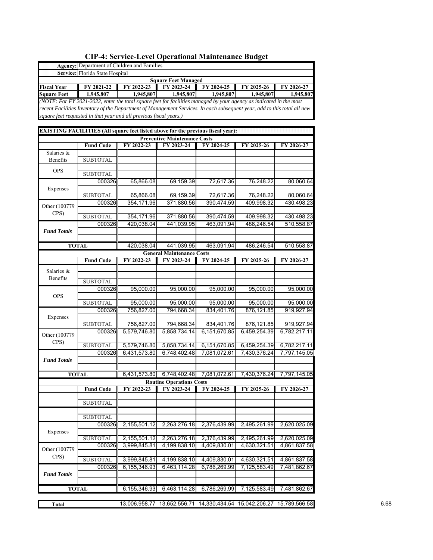|                                                                                              | Agency: Department of Children and Families |                                                                                                                                                                                                                                                                                                                                                                                                                                                                                                                                                                                                                                                                                                                                                                                                                                                                                                                                                                                                                                                                                                                                                                                                                                                                                                                                                                                                                                                                                                                                                                                                                                                                                                                                                                                                                                                                                                                                                                                                                                                                               |              |              |              |             |  |  |  |  |  |
|----------------------------------------------------------------------------------------------|---------------------------------------------|-------------------------------------------------------------------------------------------------------------------------------------------------------------------------------------------------------------------------------------------------------------------------------------------------------------------------------------------------------------------------------------------------------------------------------------------------------------------------------------------------------------------------------------------------------------------------------------------------------------------------------------------------------------------------------------------------------------------------------------------------------------------------------------------------------------------------------------------------------------------------------------------------------------------------------------------------------------------------------------------------------------------------------------------------------------------------------------------------------------------------------------------------------------------------------------------------------------------------------------------------------------------------------------------------------------------------------------------------------------------------------------------------------------------------------------------------------------------------------------------------------------------------------------------------------------------------------------------------------------------------------------------------------------------------------------------------------------------------------------------------------------------------------------------------------------------------------------------------------------------------------------------------------------------------------------------------------------------------------------------------------------------------------------------------------------------------------|--------------|--------------|--------------|-------------|--|--|--|--|--|
|                                                                                              | Service: Florida State Hospital             |                                                                                                                                                                                                                                                                                                                                                                                                                                                                                                                                                                                                                                                                                                                                                                                                                                                                                                                                                                                                                                                                                                                                                                                                                                                                                                                                                                                                                                                                                                                                                                                                                                                                                                                                                                                                                                                                                                                                                                                                                                                                               |              |              |              |             |  |  |  |  |  |
|                                                                                              | <b>Square Feet Managed</b>                  |                                                                                                                                                                                                                                                                                                                                                                                                                                                                                                                                                                                                                                                                                                                                                                                                                                                                                                                                                                                                                                                                                                                                                                                                                                                                                                                                                                                                                                                                                                                                                                                                                                                                                                                                                                                                                                                                                                                                                                                                                                                                               |              |              |              |             |  |  |  |  |  |
| Fiscal Year                                                                                  | FY 2021-22                                  | FY 2022-23                                                                                                                                                                                                                                                                                                                                                                                                                                                                                                                                                                                                                                                                                                                                                                                                                                                                                                                                                                                                                                                                                                                                                                                                                                                                                                                                                                                                                                                                                                                                                                                                                                                                                                                                                                                                                                                                                                                                                                                                                                                                    | FY 2023-24   | FY 2024-25   | FY 2025-26   | FY 2026-27  |  |  |  |  |  |
| <b>Square Feet</b>                                                                           | 1,945,807                                   |                                                                                                                                                                                                                                                                                                                                                                                                                                                                                                                                                                                                                                                                                                                                                                                                                                                                                                                                                                                                                                                                                                                                                                                                                                                                                                                                                                                                                                                                                                                                                                                                                                                                                                                                                                                                                                                                                                                                                                                                                                                                               |              |              |              |             |  |  |  |  |  |
|                                                                                              |                                             |                                                                                                                                                                                                                                                                                                                                                                                                                                                                                                                                                                                                                                                                                                                                                                                                                                                                                                                                                                                                                                                                                                                                                                                                                                                                                                                                                                                                                                                                                                                                                                                                                                                                                                                                                                                                                                                                                                                                                                                                                                                                               |              |              |              |             |  |  |  |  |  |
|                                                                                              |                                             |                                                                                                                                                                                                                                                                                                                                                                                                                                                                                                                                                                                                                                                                                                                                                                                                                                                                                                                                                                                                                                                                                                                                                                                                                                                                                                                                                                                                                                                                                                                                                                                                                                                                                                                                                                                                                                                                                                                                                                                                                                                                               |              |              |              |             |  |  |  |  |  |
|                                                                                              |                                             |                                                                                                                                                                                                                                                                                                                                                                                                                                                                                                                                                                                                                                                                                                                                                                                                                                                                                                                                                                                                                                                                                                                                                                                                                                                                                                                                                                                                                                                                                                                                                                                                                                                                                                                                                                                                                                                                                                                                                                                                                                                                               |              |              |              |             |  |  |  |  |  |
|                                                                                              |                                             |                                                                                                                                                                                                                                                                                                                                                                                                                                                                                                                                                                                                                                                                                                                                                                                                                                                                                                                                                                                                                                                                                                                                                                                                                                                                                                                                                                                                                                                                                                                                                                                                                                                                                                                                                                                                                                                                                                                                                                                                                                                                               |              |              |              |             |  |  |  |  |  |
|                                                                                              |                                             |                                                                                                                                                                                                                                                                                                                                                                                                                                                                                                                                                                                                                                                                                                                                                                                                                                                                                                                                                                                                                                                                                                                                                                                                                                                                                                                                                                                                                                                                                                                                                                                                                                                                                                                                                                                                                                                                                                                                                                                                                                                                               |              |              |              |             |  |  |  |  |  |
|                                                                                              |                                             |                                                                                                                                                                                                                                                                                                                                                                                                                                                                                                                                                                                                                                                                                                                                                                                                                                                                                                                                                                                                                                                                                                                                                                                                                                                                                                                                                                                                                                                                                                                                                                                                                                                                                                                                                                                                                                                                                                                                                                                                                                                                               |              |              |              |             |  |  |  |  |  |
| Salaries &                                                                                   | <b>Fund Code</b>                            |                                                                                                                                                                                                                                                                                                                                                                                                                                                                                                                                                                                                                                                                                                                                                                                                                                                                                                                                                                                                                                                                                                                                                                                                                                                                                                                                                                                                                                                                                                                                                                                                                                                                                                                                                                                                                                                                                                                                                                                                                                                                               |              |              |              |             |  |  |  |  |  |
| Benefits                                                                                     | <b>SUBTOTAL</b>                             |                                                                                                                                                                                                                                                                                                                                                                                                                                                                                                                                                                                                                                                                                                                                                                                                                                                                                                                                                                                                                                                                                                                                                                                                                                                                                                                                                                                                                                                                                                                                                                                                                                                                                                                                                                                                                                                                                                                                                                                                                                                                               |              |              |              |             |  |  |  |  |  |
|                                                                                              |                                             |                                                                                                                                                                                                                                                                                                                                                                                                                                                                                                                                                                                                                                                                                                                                                                                                                                                                                                                                                                                                                                                                                                                                                                                                                                                                                                                                                                                                                                                                                                                                                                                                                                                                                                                                                                                                                                                                                                                                                                                                                                                                               |              |              |              |             |  |  |  |  |  |
| OPS                                                                                          | <b>SUBTOTAL</b>                             |                                                                                                                                                                                                                                                                                                                                                                                                                                                                                                                                                                                                                                                                                                                                                                                                                                                                                                                                                                                                                                                                                                                                                                                                                                                                                                                                                                                                                                                                                                                                                                                                                                                                                                                                                                                                                                                                                                                                                                                                                                                                               |              |              |              |             |  |  |  |  |  |
|                                                                                              | 000326                                      | 65,866.08                                                                                                                                                                                                                                                                                                                                                                                                                                                                                                                                                                                                                                                                                                                                                                                                                                                                                                                                                                                                                                                                                                                                                                                                                                                                                                                                                                                                                                                                                                                                                                                                                                                                                                                                                                                                                                                                                                                                                                                                                                                                     | 69,159.39    | 72,617.36    | 76,248.22    |             |  |  |  |  |  |
| Expenses                                                                                     |                                             |                                                                                                                                                                                                                                                                                                                                                                                                                                                                                                                                                                                                                                                                                                                                                                                                                                                                                                                                                                                                                                                                                                                                                                                                                                                                                                                                                                                                                                                                                                                                                                                                                                                                                                                                                                                                                                                                                                                                                                                                                                                                               |              |              |              |             |  |  |  |  |  |
|                                                                                              | <b>SUBTOTAL</b>                             | 65,866.08                                                                                                                                                                                                                                                                                                                                                                                                                                                                                                                                                                                                                                                                                                                                                                                                                                                                                                                                                                                                                                                                                                                                                                                                                                                                                                                                                                                                                                                                                                                                                                                                                                                                                                                                                                                                                                                                                                                                                                                                                                                                     | 69,159.39    | 72,617.36    | 76,248.22    |             |  |  |  |  |  |
|                                                                                              | 000326                                      | 354,171.96                                                                                                                                                                                                                                                                                                                                                                                                                                                                                                                                                                                                                                                                                                                                                                                                                                                                                                                                                                                                                                                                                                                                                                                                                                                                                                                                                                                                                                                                                                                                                                                                                                                                                                                                                                                                                                                                                                                                                                                                                                                                    |              |              | 409,998.32   |             |  |  |  |  |  |
|                                                                                              |                                             |                                                                                                                                                                                                                                                                                                                                                                                                                                                                                                                                                                                                                                                                                                                                                                                                                                                                                                                                                                                                                                                                                                                                                                                                                                                                                                                                                                                                                                                                                                                                                                                                                                                                                                                                                                                                                                                                                                                                                                                                                                                                               |              |              |              |             |  |  |  |  |  |
| Other (100779<br>CPS)<br><b>Fund Totals</b><br><b>TOTAL</b><br>Salaries &<br>Benefits<br>OPS | <b>SUBTOTAL</b>                             |                                                                                                                                                                                                                                                                                                                                                                                                                                                                                                                                                                                                                                                                                                                                                                                                                                                                                                                                                                                                                                                                                                                                                                                                                                                                                                                                                                                                                                                                                                                                                                                                                                                                                                                                                                                                                                                                                                                                                                                                                                                                               |              |              |              |             |  |  |  |  |  |
|                                                                                              | 000326                                      |                                                                                                                                                                                                                                                                                                                                                                                                                                                                                                                                                                                                                                                                                                                                                                                                                                                                                                                                                                                                                                                                                                                                                                                                                                                                                                                                                                                                                                                                                                                                                                                                                                                                                                                                                                                                                                                                                                                                                                                                                                                                               |              |              |              |             |  |  |  |  |  |
|                                                                                              |                                             |                                                                                                                                                                                                                                                                                                                                                                                                                                                                                                                                                                                                                                                                                                                                                                                                                                                                                                                                                                                                                                                                                                                                                                                                                                                                                                                                                                                                                                                                                                                                                                                                                                                                                                                                                                                                                                                                                                                                                                                                                                                                               |              |              |              |             |  |  |  |  |  |
|                                                                                              |                                             |                                                                                                                                                                                                                                                                                                                                                                                                                                                                                                                                                                                                                                                                                                                                                                                                                                                                                                                                                                                                                                                                                                                                                                                                                                                                                                                                                                                                                                                                                                                                                                                                                                                                                                                                                                                                                                                                                                                                                                                                                                                                               |              |              |              |             |  |  |  |  |  |
|                                                                                              |                                             |                                                                                                                                                                                                                                                                                                                                                                                                                                                                                                                                                                                                                                                                                                                                                                                                                                                                                                                                                                                                                                                                                                                                                                                                                                                                                                                                                                                                                                                                                                                                                                                                                                                                                                                                                                                                                                                                                                                                                                                                                                                                               |              |              |              |             |  |  |  |  |  |
|                                                                                              | <b>Fund Code</b>                            | FY 2022-23                                                                                                                                                                                                                                                                                                                                                                                                                                                                                                                                                                                                                                                                                                                                                                                                                                                                                                                                                                                                                                                                                                                                                                                                                                                                                                                                                                                                                                                                                                                                                                                                                                                                                                                                                                                                                                                                                                                                                                                                                                                                    | FY 2023-24   | FY 2024-25   | FY 2025-26   | FY 2026-27  |  |  |  |  |  |
|                                                                                              |                                             |                                                                                                                                                                                                                                                                                                                                                                                                                                                                                                                                                                                                                                                                                                                                                                                                                                                                                                                                                                                                                                                                                                                                                                                                                                                                                                                                                                                                                                                                                                                                                                                                                                                                                                                                                                                                                                                                                                                                                                                                                                                                               |              |              |              |             |  |  |  |  |  |
|                                                                                              |                                             |                                                                                                                                                                                                                                                                                                                                                                                                                                                                                                                                                                                                                                                                                                                                                                                                                                                                                                                                                                                                                                                                                                                                                                                                                                                                                                                                                                                                                                                                                                                                                                                                                                                                                                                                                                                                                                                                                                                                                                                                                                                                               |              |              |              |             |  |  |  |  |  |
|                                                                                              | <b>SUBTOTAL</b>                             |                                                                                                                                                                                                                                                                                                                                                                                                                                                                                                                                                                                                                                                                                                                                                                                                                                                                                                                                                                                                                                                                                                                                                                                                                                                                                                                                                                                                                                                                                                                                                                                                                                                                                                                                                                                                                                                                                                                                                                                                                                                                               |              |              |              |             |  |  |  |  |  |
|                                                                                              | 000326                                      | 95,000.00                                                                                                                                                                                                                                                                                                                                                                                                                                                                                                                                                                                                                                                                                                                                                                                                                                                                                                                                                                                                                                                                                                                                                                                                                                                                                                                                                                                                                                                                                                                                                                                                                                                                                                                                                                                                                                                                                                                                                                                                                                                                     | 95,000.00    | 95,000.00    | 95,000.00    |             |  |  |  |  |  |
|                                                                                              |                                             |                                                                                                                                                                                                                                                                                                                                                                                                                                                                                                                                                                                                                                                                                                                                                                                                                                                                                                                                                                                                                                                                                                                                                                                                                                                                                                                                                                                                                                                                                                                                                                                                                                                                                                                                                                                                                                                                                                                                                                                                                                                                               |              |              |              |             |  |  |  |  |  |
|                                                                                              | <b>SUBTOTAL</b>                             |                                                                                                                                                                                                                                                                                                                                                                                                                                                                                                                                                                                                                                                                                                                                                                                                                                                                                                                                                                                                                                                                                                                                                                                                                                                                                                                                                                                                                                                                                                                                                                                                                                                                                                                                                                                                                                                                                                                                                                                                                                                                               |              |              |              |             |  |  |  |  |  |
|                                                                                              | 000326                                      |                                                                                                                                                                                                                                                                                                                                                                                                                                                                                                                                                                                                                                                                                                                                                                                                                                                                                                                                                                                                                                                                                                                                                                                                                                                                                                                                                                                                                                                                                                                                                                                                                                                                                                                                                                                                                                                                                                                                                                                                                                                                               |              |              |              |             |  |  |  |  |  |
| Expenses                                                                                     | <b>SUBTOTAL</b>                             |                                                                                                                                                                                                                                                                                                                                                                                                                                                                                                                                                                                                                                                                                                                                                                                                                                                                                                                                                                                                                                                                                                                                                                                                                                                                                                                                                                                                                                                                                                                                                                                                                                                                                                                                                                                                                                                                                                                                                                                                                                                                               |              |              |              |             |  |  |  |  |  |
|                                                                                              | 000326                                      |                                                                                                                                                                                                                                                                                                                                                                                                                                                                                                                                                                                                                                                                                                                                                                                                                                                                                                                                                                                                                                                                                                                                                                                                                                                                                                                                                                                                                                                                                                                                                                                                                                                                                                                                                                                                                                                                                                                                                                                                                                                                               |              |              |              |             |  |  |  |  |  |
| Other (100779)                                                                               |                                             |                                                                                                                                                                                                                                                                                                                                                                                                                                                                                                                                                                                                                                                                                                                                                                                                                                                                                                                                                                                                                                                                                                                                                                                                                                                                                                                                                                                                                                                                                                                                                                                                                                                                                                                                                                                                                                                                                                                                                                                                                                                                               |              |              |              |             |  |  |  |  |  |
| CPS)                                                                                         | <b>SUBTOTAL</b>                             | 5,579,746.80                                                                                                                                                                                                                                                                                                                                                                                                                                                                                                                                                                                                                                                                                                                                                                                                                                                                                                                                                                                                                                                                                                                                                                                                                                                                                                                                                                                                                                                                                                                                                                                                                                                                                                                                                                                                                                                                                                                                                                                                                                                                  | 5,858,734.14 | 6,151,670.85 | 6,459,254.39 | 6,782,217.1 |  |  |  |  |  |
|                                                                                              | 000326                                      | 1,945,807<br>1,945,807<br>1,945,807<br>1,945,807<br>1,945,807<br>(NOTE: For FY 2021-2022, enter the total square feet for facilities managed by your agency as indicated in the most<br>recent Facilities Inventory of the Department of Management Services. In each subsequent year, add to this total all new<br>square feet requested in that year and all previous fiscal years.)<br>EXISTING FACILITIES (All square feet listed above for the previous fiscal year):<br><b>Preventive Maintenance Costs</b><br>FY 2022-23<br>FY 2023-24<br>FY 2024-25<br>FY 2025-26<br>FY 2026-27<br>80,060.64<br>80,060.64<br>371,880.56<br>390,474.59<br>430,498.23<br>354,171.96<br>371,880.56<br>390,474.59<br>409,998.32<br>430,498.23<br>420,038.04<br>441,039.95<br>463,091.94<br>486,246.54<br>510,558.87<br>420,038.04<br>441,039.95<br>463,091.94<br>486,246.54<br>510,558.87<br><b>General Maintenance Costs</b><br>95,000.00<br>95,000.00<br>95,000.00<br>95,000.00<br>95,000.00<br>95,000.00<br>756,827.00<br>794,668.34<br>834,401.76<br>876,121.85<br>919,927.94<br>756,827.00<br>794,668.34<br>834,401.76<br>876,121.85<br>919,927.94<br>5,579,746.80<br>5,858,734.14<br>6,151,670.85<br>6,459,254.39<br>6,782,217.11<br>6,431,573.80<br>7,797,145.05<br>6,748,402.48<br>7,081,072.61<br>7,430,376.24<br>6,748,402.48<br>7,081,072.61<br>7,430,376.24<br>7,797,145.05<br>6,431,573.80<br><b>Routine Operations Costs</b><br>FY 2022-23<br>FY 2023-24<br>FY 2024-25<br>FY 2025-26<br>FY 2026-27<br>2,155,501.12<br>2,263,276.18<br>2,376,439.99<br>2,495,261.99<br>2,620,025.09<br>2,155,501.12<br>2,263,276.18<br>2,376,439.99<br>2,495,261.99<br>2,620,025.09<br>3,999,845.81<br>4,199,838.10<br>4,409,830.01<br>4,630,321.51<br>4,861,837.58<br>3,999,845.81<br>4,199,838.10<br>4,409,830.01<br>4,630,321.51<br>4,861,837.58<br>6,155,346.93<br>6,463,114.28<br>6,786,269.99<br>7,125,583.49<br>7,481,862.67<br>6,155,346.93<br>6,463,114.28<br>6,786,269.99<br>7,125,583.49<br>7,481,862.67<br>13,006,958.77 13,652,556.71 14,330,434.54 15,042,206.27 15,789,566.58 |              |              |              |             |  |  |  |  |  |
| <b>Fund Totals</b>                                                                           |                                             |                                                                                                                                                                                                                                                                                                                                                                                                                                                                                                                                                                                                                                                                                                                                                                                                                                                                                                                                                                                                                                                                                                                                                                                                                                                                                                                                                                                                                                                                                                                                                                                                                                                                                                                                                                                                                                                                                                                                                                                                                                                                               |              |              |              |             |  |  |  |  |  |
|                                                                                              |                                             |                                                                                                                                                                                                                                                                                                                                                                                                                                                                                                                                                                                                                                                                                                                                                                                                                                                                                                                                                                                                                                                                                                                                                                                                                                                                                                                                                                                                                                                                                                                                                                                                                                                                                                                                                                                                                                                                                                                                                                                                                                                                               |              |              |              |             |  |  |  |  |  |
|                                                                                              | <b>TOTAL</b>                                |                                                                                                                                                                                                                                                                                                                                                                                                                                                                                                                                                                                                                                                                                                                                                                                                                                                                                                                                                                                                                                                                                                                                                                                                                                                                                                                                                                                                                                                                                                                                                                                                                                                                                                                                                                                                                                                                                                                                                                                                                                                                               |              |              |              |             |  |  |  |  |  |
|                                                                                              |                                             |                                                                                                                                                                                                                                                                                                                                                                                                                                                                                                                                                                                                                                                                                                                                                                                                                                                                                                                                                                                                                                                                                                                                                                                                                                                                                                                                                                                                                                                                                                                                                                                                                                                                                                                                                                                                                                                                                                                                                                                                                                                                               |              |              |              |             |  |  |  |  |  |
|                                                                                              | <b>Fund Code</b>                            |                                                                                                                                                                                                                                                                                                                                                                                                                                                                                                                                                                                                                                                                                                                                                                                                                                                                                                                                                                                                                                                                                                                                                                                                                                                                                                                                                                                                                                                                                                                                                                                                                                                                                                                                                                                                                                                                                                                                                                                                                                                                               |              |              |              |             |  |  |  |  |  |
|                                                                                              | <b>SUBTOTAL</b>                             |                                                                                                                                                                                                                                                                                                                                                                                                                                                                                                                                                                                                                                                                                                                                                                                                                                                                                                                                                                                                                                                                                                                                                                                                                                                                                                                                                                                                                                                                                                                                                                                                                                                                                                                                                                                                                                                                                                                                                                                                                                                                               |              |              |              |             |  |  |  |  |  |
|                                                                                              |                                             |                                                                                                                                                                                                                                                                                                                                                                                                                                                                                                                                                                                                                                                                                                                                                                                                                                                                                                                                                                                                                                                                                                                                                                                                                                                                                                                                                                                                                                                                                                                                                                                                                                                                                                                                                                                                                                                                                                                                                                                                                                                                               |              |              |              |             |  |  |  |  |  |
|                                                                                              | <b>SUBTOTAL</b>                             |                                                                                                                                                                                                                                                                                                                                                                                                                                                                                                                                                                                                                                                                                                                                                                                                                                                                                                                                                                                                                                                                                                                                                                                                                                                                                                                                                                                                                                                                                                                                                                                                                                                                                                                                                                                                                                                                                                                                                                                                                                                                               |              |              |              |             |  |  |  |  |  |
|                                                                                              | 000326                                      |                                                                                                                                                                                                                                                                                                                                                                                                                                                                                                                                                                                                                                                                                                                                                                                                                                                                                                                                                                                                                                                                                                                                                                                                                                                                                                                                                                                                                                                                                                                                                                                                                                                                                                                                                                                                                                                                                                                                                                                                                                                                               |              |              |              |             |  |  |  |  |  |
| Expenses                                                                                     |                                             |                                                                                                                                                                                                                                                                                                                                                                                                                                                                                                                                                                                                                                                                                                                                                                                                                                                                                                                                                                                                                                                                                                                                                                                                                                                                                                                                                                                                                                                                                                                                                                                                                                                                                                                                                                                                                                                                                                                                                                                                                                                                               |              |              |              |             |  |  |  |  |  |
|                                                                                              | <b>SUBTOTAL</b>                             |                                                                                                                                                                                                                                                                                                                                                                                                                                                                                                                                                                                                                                                                                                                                                                                                                                                                                                                                                                                                                                                                                                                                                                                                                                                                                                                                                                                                                                                                                                                                                                                                                                                                                                                                                                                                                                                                                                                                                                                                                                                                               |              |              |              |             |  |  |  |  |  |
| Other (100779                                                                                | 000326                                      |                                                                                                                                                                                                                                                                                                                                                                                                                                                                                                                                                                                                                                                                                                                                                                                                                                                                                                                                                                                                                                                                                                                                                                                                                                                                                                                                                                                                                                                                                                                                                                                                                                                                                                                                                                                                                                                                                                                                                                                                                                                                               |              |              |              |             |  |  |  |  |  |
| CPS)                                                                                         |                                             |                                                                                                                                                                                                                                                                                                                                                                                                                                                                                                                                                                                                                                                                                                                                                                                                                                                                                                                                                                                                                                                                                                                                                                                                                                                                                                                                                                                                                                                                                                                                                                                                                                                                                                                                                                                                                                                                                                                                                                                                                                                                               |              |              |              |             |  |  |  |  |  |
|                                                                                              | <b>SUBTOTAL</b>                             |                                                                                                                                                                                                                                                                                                                                                                                                                                                                                                                                                                                                                                                                                                                                                                                                                                                                                                                                                                                                                                                                                                                                                                                                                                                                                                                                                                                                                                                                                                                                                                                                                                                                                                                                                                                                                                                                                                                                                                                                                                                                               |              |              |              |             |  |  |  |  |  |
|                                                                                              | 000326                                      |                                                                                                                                                                                                                                                                                                                                                                                                                                                                                                                                                                                                                                                                                                                                                                                                                                                                                                                                                                                                                                                                                                                                                                                                                                                                                                                                                                                                                                                                                                                                                                                                                                                                                                                                                                                                                                                                                                                                                                                                                                                                               |              |              |              |             |  |  |  |  |  |
| <b>Fund Totals</b>                                                                           |                                             |                                                                                                                                                                                                                                                                                                                                                                                                                                                                                                                                                                                                                                                                                                                                                                                                                                                                                                                                                                                                                                                                                                                                                                                                                                                                                                                                                                                                                                                                                                                                                                                                                                                                                                                                                                                                                                                                                                                                                                                                                                                                               |              |              |              |             |  |  |  |  |  |
|                                                                                              | <b>TOTAL</b>                                |                                                                                                                                                                                                                                                                                                                                                                                                                                                                                                                                                                                                                                                                                                                                                                                                                                                                                                                                                                                                                                                                                                                                                                                                                                                                                                                                                                                                                                                                                                                                                                                                                                                                                                                                                                                                                                                                                                                                                                                                                                                                               |              |              |              |             |  |  |  |  |  |
|                                                                                              |                                             |                                                                                                                                                                                                                                                                                                                                                                                                                                                                                                                                                                                                                                                                                                                                                                                                                                                                                                                                                                                                                                                                                                                                                                                                                                                                                                                                                                                                                                                                                                                                                                                                                                                                                                                                                                                                                                                                                                                                                                                                                                                                               |              |              |              |             |  |  |  |  |  |
| <b>Total</b>                                                                                 |                                             |                                                                                                                                                                                                                                                                                                                                                                                                                                                                                                                                                                                                                                                                                                                                                                                                                                                                                                                                                                                                                                                                                                                                                                                                                                                                                                                                                                                                                                                                                                                                                                                                                                                                                                                                                                                                                                                                                                                                                                                                                                                                               |              |              |              |             |  |  |  |  |  |
|                                                                                              |                                             |                                                                                                                                                                                                                                                                                                                                                                                                                                                                                                                                                                                                                                                                                                                                                                                                                                                                                                                                                                                                                                                                                                                                                                                                                                                                                                                                                                                                                                                                                                                                                                                                                                                                                                                                                                                                                                                                                                                                                                                                                                                                               |              |              |              |             |  |  |  |  |  |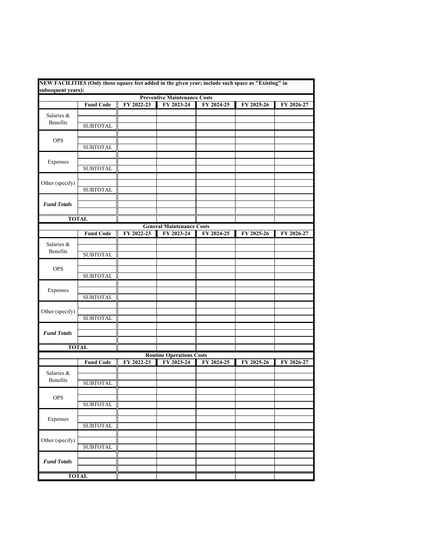| subsequent years): |                  |            |                                               | NEW FACILITIES (Only those square feet added in the given year; include such space as "Existing" in |            |            |
|--------------------|------------------|------------|-----------------------------------------------|-----------------------------------------------------------------------------------------------------|------------|------------|
|                    |                  |            | <b>Preventive Maintenance Costs</b>           |                                                                                                     |            |            |
|                    | <b>Fund Code</b> | FY 2022-23 | FY 2023-24                                    | FY 2024-25                                                                                          | FY 2025-26 | FY 2026-27 |
| Salaries &         |                  |            |                                               |                                                                                                     |            |            |
| Benefits           |                  |            |                                               |                                                                                                     |            |            |
|                    | <b>SUBTOTAL</b>  |            |                                               |                                                                                                     |            |            |
|                    |                  |            |                                               |                                                                                                     |            |            |
| <b>OPS</b>         |                  |            |                                               |                                                                                                     |            |            |
|                    | <b>SUBTOTAL</b>  |            |                                               |                                                                                                     |            |            |
|                    |                  |            |                                               |                                                                                                     |            |            |
| Expenses           |                  |            |                                               |                                                                                                     |            |            |
|                    | <b>SUBTOTAL</b>  |            |                                               |                                                                                                     |            |            |
|                    |                  |            |                                               |                                                                                                     |            |            |
| Other (specify)    | <b>SUBTOTAL</b>  |            |                                               |                                                                                                     |            |            |
|                    |                  |            |                                               |                                                                                                     |            |            |
| <b>Fund Totals</b> |                  |            |                                               |                                                                                                     |            |            |
|                    |                  |            |                                               |                                                                                                     |            |            |
|                    | <b>TOTAL</b>     |            |                                               |                                                                                                     |            |            |
|                    |                  |            | <b>General Maintenance Costs</b>              |                                                                                                     |            |            |
|                    | <b>Fund Code</b> | FY 2022-23 | FY 2023-24                                    | FY 2024-25                                                                                          | FY 2025-26 | FY 2026-27 |
|                    |                  |            |                                               |                                                                                                     |            |            |
| Salaries &         |                  |            |                                               |                                                                                                     |            |            |
| Benefits           | <b>SUBTOTAL</b>  |            |                                               |                                                                                                     |            |            |
|                    |                  |            |                                               |                                                                                                     |            |            |
| <b>OPS</b>         |                  |            |                                               |                                                                                                     |            |            |
|                    | <b>SUBTOTAL</b>  |            |                                               |                                                                                                     |            |            |
|                    |                  |            |                                               |                                                                                                     |            |            |
| Expenses           |                  |            |                                               |                                                                                                     |            |            |
|                    | <b>SUBTOTAL</b>  |            |                                               |                                                                                                     |            |            |
|                    |                  |            |                                               |                                                                                                     |            |            |
| Other (specify)    |                  |            |                                               |                                                                                                     |            |            |
|                    | <b>SUBTOTAL</b>  |            |                                               |                                                                                                     |            |            |
|                    |                  |            |                                               |                                                                                                     |            |            |
| <b>Fund Totals</b> |                  |            |                                               |                                                                                                     |            |            |
|                    |                  |            |                                               |                                                                                                     |            |            |
|                    | <b>TOTAL</b>     |            |                                               |                                                                                                     |            |            |
|                    | <b>Fund Code</b> | FY 2022-23 | <b>Routine Operations Costs</b><br>FY 2023-24 | FY 2024-25                                                                                          | FY 2025-26 | FY 2026-27 |
|                    |                  |            |                                               |                                                                                                     |            |            |
| Salaries &         |                  |            |                                               |                                                                                                     |            |            |
| Benefits           | <b>SUBTOTAL</b>  |            |                                               |                                                                                                     |            |            |
|                    |                  |            |                                               |                                                                                                     |            |            |
| OPS                |                  |            |                                               |                                                                                                     |            |            |
|                    | <b>SUBTOTAL</b>  |            |                                               |                                                                                                     |            |            |
|                    |                  |            |                                               |                                                                                                     |            |            |
| Expenses           |                  |            |                                               |                                                                                                     |            |            |
|                    | <b>SUBTOTAL</b>  |            |                                               |                                                                                                     |            |            |
|                    |                  |            |                                               |                                                                                                     |            |            |
| Other (specify)    |                  |            |                                               |                                                                                                     |            |            |
|                    | <b>SUBTOTAL</b>  |            |                                               |                                                                                                     |            |            |
|                    |                  |            |                                               |                                                                                                     |            |            |
| <b>Fund Totals</b> |                  |            |                                               |                                                                                                     |            |            |
|                    |                  |            |                                               |                                                                                                     |            |            |
|                    | <b>TOTAL</b>     |            |                                               |                                                                                                     |            |            |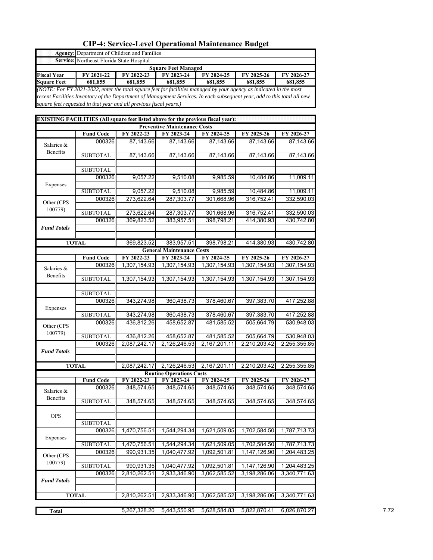|                       |                                  | <b>Agency:</b> Department of Children and Families                                                                       |                                     |                                                     |              |              |
|-----------------------|----------------------------------|--------------------------------------------------------------------------------------------------------------------------|-------------------------------------|-----------------------------------------------------|--------------|--------------|
| Service:              | Northeast Florida State Hospital |                                                                                                                          |                                     |                                                     |              |              |
|                       |                                  |                                                                                                                          | <b>Square Feet Managed</b>          |                                                     |              |              |
| <b>Fiscal Year</b>    | FY 2021-22                       | FY 2022-23                                                                                                               | FY 2023-24                          | FY 2024-25                                          | FY 2025-26   | FY 2026-27   |
| <b>Square Feet</b>    | 681,855                          | 681,855                                                                                                                  | 681,855                             | 681,855                                             | 681,855      | 681,855      |
|                       |                                  | (NOTE: For FY 2021-2022, enter the total square feet for facilities managed by your agency as indicated in the most      |                                     |                                                     |              |              |
|                       |                                  | recent Facilities Inventory of the Department of Management Services. In each subsequent year, add to this total all new |                                     |                                                     |              |              |
|                       |                                  | square feet requested in that year and all previous fiscal years.)                                                       |                                     |                                                     |              |              |
|                       |                                  |                                                                                                                          |                                     |                                                     |              |              |
|                       |                                  | EXISTING FACILITIES (All square feet listed above for the previous fiscal year):                                         |                                     |                                                     |              |              |
|                       |                                  |                                                                                                                          | <b>Preventive Maintenance Costs</b> |                                                     |              |              |
|                       | <b>Fund Code</b>                 | FY 2022-23                                                                                                               | FY 2023-24                          | FY 2024-25                                          | FY 2025-26   | FY 2026-27   |
| Salaries &            | 000326                           | 87,143.66                                                                                                                | 87,143.66                           | 87,143.66                                           | 87,143.66    | 87,143.66    |
| Benefits              |                                  |                                                                                                                          |                                     |                                                     |              |              |
|                       | <b>SUBTOTAL</b>                  | 87,143.66                                                                                                                | 87,143.66                           | 87,143.66                                           | 87,143.66    | 87,143.66    |
|                       |                                  |                                                                                                                          |                                     |                                                     |              |              |
|                       | <b>SUBTOTAL</b>                  |                                                                                                                          |                                     |                                                     |              |              |
|                       | 000326                           | 9,057.22                                                                                                                 | 9,510.08                            | 9,985.59                                            | 10,484.86    | 11,009.11    |
| Expenses              | <b>SUBTOTAL</b>                  | 9,057.22                                                                                                                 | 9,510.08                            | 9,985.59                                            | 10,484.86    | 11,009.11    |
| Other (CPS<br>100779) |                                  |                                                                                                                          |                                     |                                                     |              |              |
| <b>Fund Totals</b>    | 000326                           | 273,622.64                                                                                                               | 287,303.77                          | 301,668.96                                          | 316,752.41   | 332,590.03   |
|                       | <b>SUBTOTAL</b>                  | 273,622.64                                                                                                               | 287,303.77                          | 301,668.96                                          | 316,752.41   | 332,590.03   |
|                       | 000326                           | 369,823.52                                                                                                               | 383,957.51                          | 398,798.21                                          | 414,380.93   | 430,742.80   |
|                       |                                  |                                                                                                                          |                                     |                                                     |              |              |
|                       |                                  |                                                                                                                          |                                     |                                                     |              |              |
|                       | <b>TOTAL</b>                     | 369,823.52                                                                                                               | 383,957.51                          | 398,798.21                                          | 414,380.93   | 430,742.80   |
|                       |                                  |                                                                                                                          | <b>General Maintenance Costs</b>    |                                                     |              |              |
|                       | <b>Fund Code</b>                 | FY 2022-23                                                                                                               | FY 2023-24                          | FY 2024-25                                          | FY 2025-26   | FY 2026-27   |
|                       | 000326                           | 1,307,154.93                                                                                                             | 1,307,154.93                        | 1,307,154.93                                        | 1,307,154.93 | 1,307,154.93 |
| Salaries &            |                                  |                                                                                                                          |                                     |                                                     |              |              |
| Benefits              | <b>SUBTOTAL</b>                  | 1,307,154.93                                                                                                             | 1,307,154.93                        | 1,307,154.93                                        | 1,307,154.93 | 1,307,154.93 |
|                       |                                  |                                                                                                                          |                                     |                                                     |              |              |
|                       | <b>SUBTOTAL</b>                  |                                                                                                                          |                                     |                                                     |              |              |
|                       | 000326                           | 343,274.98                                                                                                               | 360,438.73                          | 378,460.67                                          | 397,383.70   | 417,252.88   |
| Expenses              |                                  |                                                                                                                          |                                     |                                                     |              |              |
|                       | <b>SUBTOTAL</b>                  | 343,274.98                                                                                                               | 360,438.73                          | 378,460.67                                          | 397,383.70   | 417,252.88   |
| Other (CPS            | 000326                           | 436,812.26                                                                                                               | 458,652.87                          | 481,585.52                                          | 505,664.79   | 530,948.03   |
| 100779)               |                                  |                                                                                                                          |                                     |                                                     |              |              |
|                       | <b>SUBTOTAL</b>                  | 436,812.26                                                                                                               | 458,652.87                          | 481,585.52                                          | 505,664.79   | 530,948.03   |
|                       | 000326                           | 2,087,242.17                                                                                                             | 2,126,246.53                        | 2,167,201.11                                        | 2,210,203.42 | 2,255,355.85 |
| <b>Fund Totals</b>    |                                  |                                                                                                                          |                                     |                                                     |              |              |
|                       |                                  |                                                                                                                          |                                     |                                                     |              |              |
|                       | <b>TOTAL</b>                     |                                                                                                                          |                                     | 2,087,242.17 2,126,246.53 2,167,201.11 2,210,203.42 |              | 2,255,355.85 |
|                       |                                  |                                                                                                                          | <b>Routine Operations Costs</b>     |                                                     |              |              |
|                       | <b>Fund Code</b>                 | FY 2022-23                                                                                                               | FY 2023-24                          | FY 2024-25                                          | FY 2025-26   | FY 2026-27   |
| Salaries &            | 000326                           | 348,574.65                                                                                                               | 348,574.65                          | 348,574.65                                          | 348,574.65   | 348,574.65   |
| Benefits              | <b>SUBTOTAL</b>                  | 348,574.65                                                                                                               | 348,574.65                          | 348,574.65                                          | 348,574.65   | 348,574.65   |
|                       |                                  |                                                                                                                          |                                     |                                                     |              |              |
| <b>OPS</b>            |                                  |                                                                                                                          |                                     |                                                     |              |              |
|                       | <b>SUBTOTAL</b>                  |                                                                                                                          |                                     |                                                     |              |              |
|                       | 000326                           | 1,470,756.51                                                                                                             | 1,544,294.34                        | 1,621,509.05                                        | 1,702,584.50 | 1,787,713.73 |
| Expenses              |                                  |                                                                                                                          |                                     |                                                     |              |              |
|                       | <b>SUBTOTAL</b>                  | 1,470,756.51                                                                                                             | 1,544,294.34                        | 1,621,509.05                                        | 1,702,584.50 | 1,787,713.73 |
|                       | 000326                           | 990,931.35                                                                                                               | 1,040,477.92                        | 1,092,501.81                                        | 1,147,126.90 | 1,204,483.25 |
| Other (CPS            |                                  |                                                                                                                          |                                     |                                                     |              |              |
| 100779)               | <b>SUBTOTAL</b>                  | 990,931.35                                                                                                               | 1,040,477.92                        | 1,092,501.81                                        | 1,147,126.90 | 1,204,483.25 |
|                       | 000326                           | 2,810,262.51                                                                                                             | 2,933,346.90                        | 3,062,585.52                                        | 3,198,286.06 | 3,340,771.63 |
| <b>Fund Totals</b>    |                                  |                                                                                                                          |                                     |                                                     |              |              |
|                       |                                  |                                                                                                                          |                                     |                                                     |              |              |
|                       | <b>TOTAL</b>                     | 2,810,262.51                                                                                                             | 2,933,346.90                        | 3,062,585.52                                        | 3,198,286.06 | 3,340,771.63 |
|                       |                                  |                                                                                                                          |                                     |                                                     |              |              |
|                       |                                  | 5,267,328.20                                                                                                             | 5,443,550.95                        | 5,628,584.83                                        | 5,822,870.41 | 6,026,870.27 |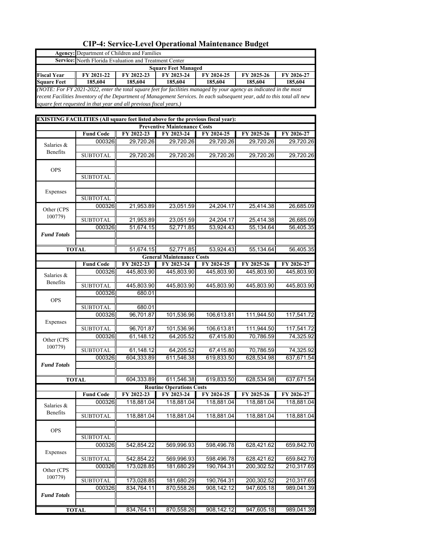|                        | Agency: Department of Children and Families                                                                              |            |                                                   |            |            |            |
|------------------------|--------------------------------------------------------------------------------------------------------------------------|------------|---------------------------------------------------|------------|------------|------------|
|                        | Service: North Florida Evaluation and Treatment Center                                                                   |            |                                                   |            |            |            |
|                        |                                                                                                                          |            | <b>Square Feet Managed</b>                        |            |            |            |
| <b>Fiscal Year</b>     | FY 2021-22                                                                                                               | FY 2022-23 | FY 2023-24                                        | FY 2024-25 | FY 2025-26 | FY 2026-27 |
| <b>Square Feet</b>     | 185,604                                                                                                                  | 185,604    | 185,604                                           | 185,604    | 185,604    | 185,604    |
|                        | (NOTE: For FY 2021-2022, enter the total square feet for facilities managed by your agency as indicated in the most      |            |                                                   |            |            |            |
|                        | recent Facilities Inventory of the Department of Management Services. In each subsequent year, add to this total all new |            |                                                   |            |            |            |
|                        | square feet requested in that year and all previous fiscal years.)                                                       |            |                                                   |            |            |            |
|                        |                                                                                                                          |            |                                                   |            |            |            |
|                        | EXISTING FACILITIES (All square feet listed above for the previous fiscal year):                                         |            |                                                   |            |            |            |
|                        | <b>Fund Code</b>                                                                                                         | FY 2022-23 | <b>Preventive Maintenance Costs</b><br>FY 2023-24 | FY 2024-25 | FY 2025-26 | FY 2026-27 |
|                        | 000326                                                                                                                   | 29,720.26  | 29,720.26                                         | 29,720.26  | 29,720.26  | 29,720.26  |
| Salaries &             |                                                                                                                          |            |                                                   |            |            |            |
| Benefits               | <b>SUBTOTAL</b>                                                                                                          | 29,720.26  | 29,720.26                                         | 29,720.26  | 29,720.26  | 29,720.26  |
|                        |                                                                                                                          |            |                                                   |            |            |            |
| <b>OPS</b>             |                                                                                                                          |            |                                                   |            |            |            |
|                        | <b>SUBTOTAL</b>                                                                                                          |            |                                                   |            |            |            |
|                        |                                                                                                                          |            |                                                   |            |            |            |
| Expenses               |                                                                                                                          |            |                                                   |            |            |            |
|                        | <b>SUBTOTAL</b>                                                                                                          |            |                                                   |            |            |            |
| Other (CPS             | 000326                                                                                                                   | 21,953.89  | 23,051.59                                         | 24,204.17  | 25,414.38  | 26,685.09  |
| 100779)                |                                                                                                                          |            |                                                   |            |            |            |
|                        | <b>SUBTOTAL</b>                                                                                                          | 21,953.89  | 23,051.59                                         | 24,204.17  | 25,414.38  | 26,685.09  |
|                        | 000326                                                                                                                   | 51,674.15  | 52,771.85                                         | 53,924.43  | 55,134.64  | 56,405.35  |
| <b>Fund Totals</b>     |                                                                                                                          |            |                                                   |            |            |            |
|                        | <b>TOTAL</b>                                                                                                             | 51,674.15  | 52,771.85                                         |            | 55,134.64  | 56,405.35  |
|                        |                                                                                                                          |            | <b>General Maintenance Costs</b>                  | 53,924.43  |            |            |
|                        | <b>Fund Code</b>                                                                                                         | FY 2022-23 | FY 2023-24                                        | FY 2024-25 | FY 2025-26 | FY 2026-27 |
|                        | 000326                                                                                                                   | 445,803.90 | 445,803.90                                        | 445,803.90 | 445,803.90 | 445,803.90 |
| Salaries &<br>Benefits |                                                                                                                          |            |                                                   |            |            |            |
|                        | <b>SUBTOTAL</b>                                                                                                          | 445,803.90 | 445,803.90                                        | 445,803.90 | 445,803.90 | 445,803.90 |
|                        | 000326                                                                                                                   | 680.01     |                                                   |            |            |            |
| <b>OPS</b>             |                                                                                                                          |            |                                                   |            |            |            |
|                        | <b>SUBTOTAL</b>                                                                                                          | 680.01     |                                                   |            |            |            |
|                        | 000326                                                                                                                   | 96,701.87  | 101,536.96                                        | 106,613.81 | 111,944.50 | 117,541.72 |
| Expenses               |                                                                                                                          |            |                                                   |            |            |            |
|                        | <b>SUBTOTAL</b>                                                                                                          | 96,701.87  | 101,536.96                                        | 106,613.81 | 111,944.50 | 117,541.72 |
| Other (CPS             | 000326                                                                                                                   | 61,148.12  | 64,205.52                                         | 67,415.80  | 70,786.59  | 74,325.92  |
| 100779)                |                                                                                                                          |            |                                                   |            |            |            |
|                        | <b>SUBTOTAL</b>                                                                                                          | 61,148.12  | 64,205.52                                         | 67,415.80  | 70,786.59  | 74,325.92  |
|                        | 000326                                                                                                                   | 604,333.89 | 611,546.38                                        | 619,833.50 | 628,534.98 | 637,671.54 |
| <b>Fund Totals</b>     |                                                                                                                          |            |                                                   |            |            |            |
|                        | <b>TOTAL</b>                                                                                                             | 604,333.89 | 611,546.38                                        | 619.833.50 | 628,534.98 | 637,671.54 |
|                        |                                                                                                                          |            | <b>Routine Operations Costs</b>                   |            |            |            |
|                        | <b>Fund Code</b>                                                                                                         | FY 2022-23 | FY 2023-24                                        | FY 2024-25 | FY 2025-26 | FY 2026-27 |
|                        | 000326                                                                                                                   | 118,881.04 | 118,881.04                                        | 118,881.04 | 118,881.04 | 118,881.04 |
| Salaries &             |                                                                                                                          |            |                                                   |            |            |            |
| Benefits               | <b>SUBTOTAL</b>                                                                                                          | 118,881.04 | 118,881.04                                        | 118,881.04 | 118,881.04 | 118,881.04 |
|                        |                                                                                                                          |            |                                                   |            |            |            |
| <b>OPS</b>             |                                                                                                                          |            |                                                   |            |            |            |
|                        | <b>SUBTOTAL</b>                                                                                                          |            |                                                   |            |            |            |
|                        | 000326                                                                                                                   | 542,854.22 | 569,996.93                                        | 598,496.78 | 628,421.62 | 659,842.70 |
| Expenses               |                                                                                                                          |            |                                                   |            |            |            |
|                        | <b>SUBTOTAL</b>                                                                                                          | 542,854.22 | 569,996.93                                        | 598,496.78 | 628,421.62 | 659,842.70 |
| Other (CPS             | 000326                                                                                                                   | 173,028.85 | 181,680.29                                        | 190,764.31 | 200,302.52 | 210,317.65 |
| 100779)                |                                                                                                                          |            |                                                   |            |            |            |
|                        | <b>SUBTOTAL</b>                                                                                                          | 173,028.85 | 181,680.29                                        | 190,764.31 | 200,302.52 | 210,317.65 |
|                        | 000326                                                                                                                   | 834,764.11 | 870,558.26                                        | 908,142.12 | 947,605.18 | 989,041.39 |
| <b>Fund Totals</b>     |                                                                                                                          |            |                                                   |            |            |            |
|                        |                                                                                                                          |            |                                                   |            |            |            |
|                        | <b>TOTAL</b>                                                                                                             | 834,764.11 | 870,558.26                                        | 908,142.12 | 947,605.18 | 989,041.39 |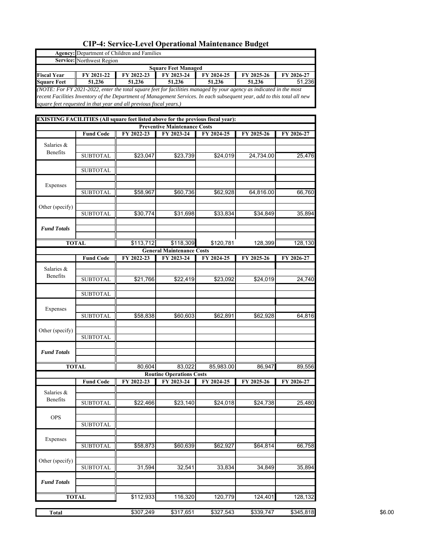|                    |                  | <b>Agency:</b> Department of Children and Families                                                                                                                                             |                                     |            |            |            |
|--------------------|------------------|------------------------------------------------------------------------------------------------------------------------------------------------------------------------------------------------|-------------------------------------|------------|------------|------------|
| Service:           | Northwest Region |                                                                                                                                                                                                |                                     |            |            |            |
|                    |                  |                                                                                                                                                                                                | <b>Square Feet Managed</b>          |            |            |            |
| <b>Fiscal Year</b> | FY 2021-22       | FY 2022-23                                                                                                                                                                                     | FY 2023-24                          | FY 2024-25 | FY 2025-26 | FY 2026-27 |
| <b>Square Feet</b> | 51,236           | 51,236                                                                                                                                                                                         | 51,236                              | 51,236     | 51,236     | 51,236     |
|                    |                  | (NOTE: For FY 2021-2022, enter the total square feet for facilities managed by your agency as indicated in the most                                                                            |                                     |            |            |            |
|                    |                  | recent Facilities Inventory of the Department of Management Services. In each subsequent year, add to this total all new<br>square feet requested in that year and all previous fiscal years.) |                                     |            |            |            |
|                    |                  |                                                                                                                                                                                                |                                     |            |            |            |
|                    |                  | EXISTING FACILITIES (All square feet listed above for the previous fiscal year):                                                                                                               |                                     |            |            |            |
|                    |                  |                                                                                                                                                                                                | <b>Preventive Maintenance Costs</b> |            |            |            |
|                    | <b>Fund Code</b> | FY 2022-23                                                                                                                                                                                     | FY 2023-24                          | FY 2024-25 | FY 2025-26 | FY 2026-27 |
| Salaries &         |                  |                                                                                                                                                                                                |                                     |            |            |            |
| Benefits           |                  |                                                                                                                                                                                                |                                     |            |            |            |
|                    | <b>SUBTOTAL</b>  | \$23,047                                                                                                                                                                                       | \$23,739                            | \$24,019   | 24,734.00  | 25,476     |
|                    |                  |                                                                                                                                                                                                |                                     |            |            |            |
|                    | <b>SUBTOTAL</b>  |                                                                                                                                                                                                |                                     |            |            |            |
| Expenses           |                  |                                                                                                                                                                                                |                                     |            |            |            |
|                    | <b>SUBTOTAL</b>  | \$58,967                                                                                                                                                                                       | \$60,736                            | \$62,928   | 64,816.00  | 66,760     |
|                    |                  |                                                                                                                                                                                                |                                     |            |            |            |
| Other (specify)    |                  |                                                                                                                                                                                                |                                     |            |            |            |
|                    | <b>SUBTOTAL</b>  | \$30,774                                                                                                                                                                                       | \$31,698                            | \$33,834   | \$34,849   | 35,894     |
|                    |                  |                                                                                                                                                                                                |                                     |            |            |            |
| <b>Fund Totals</b> |                  |                                                                                                                                                                                                |                                     |            |            |            |
|                    |                  |                                                                                                                                                                                                |                                     |            |            |            |
|                    | <b>TOTAL</b>     | \$113,712                                                                                                                                                                                      | \$118,309                           | \$120,781  | 128,399    | 128,130    |
|                    |                  | FY 2022-23                                                                                                                                                                                     | <b>General Maintenance Costs</b>    |            |            |            |
|                    | <b>Fund Code</b> |                                                                                                                                                                                                | FY 2023-24                          | FY 2024-25 | FY 2025-26 | FY 2026-27 |
| Salaries &         |                  |                                                                                                                                                                                                |                                     |            |            |            |
| Benefits           | <b>SUBTOTAL</b>  | \$21,766                                                                                                                                                                                       | \$22,419                            | \$23,092   | \$24,019   | 24,740     |
|                    |                  |                                                                                                                                                                                                |                                     |            |            |            |
|                    | <b>SUBTOTAL</b>  |                                                                                                                                                                                                |                                     |            |            |            |
|                    |                  |                                                                                                                                                                                                |                                     |            |            |            |
| Expenses           |                  |                                                                                                                                                                                                |                                     |            |            |            |
|                    | <b>SUBTOTAL</b>  | \$58,838                                                                                                                                                                                       | \$60,603                            | \$62,891   | \$62,928   | 64,816     |
|                    |                  |                                                                                                                                                                                                |                                     |            |            |            |
| Other (specify)    | <b>SUBTOTAL</b>  |                                                                                                                                                                                                |                                     |            |            |            |
|                    |                  |                                                                                                                                                                                                |                                     |            |            |            |
| <b>Fund Totals</b> |                  |                                                                                                                                                                                                |                                     |            |            |            |
|                    |                  |                                                                                                                                                                                                |                                     |            |            |            |
|                    | TOTAL            | 80,604                                                                                                                                                                                         | 83,022                              | 85,983.00  | 86.947     | 89,556     |
|                    |                  |                                                                                                                                                                                                | <b>Routine Operations Costs</b>     |            |            |            |
|                    | <b>Fund Code</b> | FY 2022-23                                                                                                                                                                                     | FY 2023-24                          | FY 2024-25 | FY 2025-26 | FY 2026-27 |
| Salaries &         |                  |                                                                                                                                                                                                |                                     |            |            |            |
| Benefits           |                  |                                                                                                                                                                                                |                                     |            |            |            |
|                    | <b>SUBTOTAL</b>  | \$22,466                                                                                                                                                                                       | \$23,140                            | \$24,018   | \$24,738   | 25,480     |
|                    |                  |                                                                                                                                                                                                |                                     |            |            |            |
| <b>OPS</b>         | <b>SUBTOTAL</b>  |                                                                                                                                                                                                |                                     |            |            |            |
|                    |                  |                                                                                                                                                                                                |                                     |            |            |            |
| Expenses           |                  |                                                                                                                                                                                                |                                     |            |            |            |
|                    | <b>SUBTOTAL</b>  | \$58,873                                                                                                                                                                                       | \$60,639                            | \$62,927   | \$64,814   | 66,758     |
|                    |                  |                                                                                                                                                                                                |                                     |            |            |            |
| Other (specify)    |                  |                                                                                                                                                                                                |                                     |            |            |            |
|                    | <b>SUBTOTAL</b>  | 31,594                                                                                                                                                                                         | 32,541                              | 33,834     | 34,849     | 35,894     |
|                    |                  |                                                                                                                                                                                                |                                     |            |            |            |
| <b>Fund Totals</b> |                  |                                                                                                                                                                                                |                                     |            |            |            |
|                    |                  |                                                                                                                                                                                                |                                     |            |            |            |
|                    | <b>TOTAL</b>     | \$112,933                                                                                                                                                                                      | 116,320                             | 120,779    | 124,401    | 128,132    |
|                    |                  |                                                                                                                                                                                                |                                     |            |            |            |
| <b>Total</b>       |                  | \$307,249                                                                                                                                                                                      | \$317,651                           | \$327,543  | \$339,747  | \$345,818  |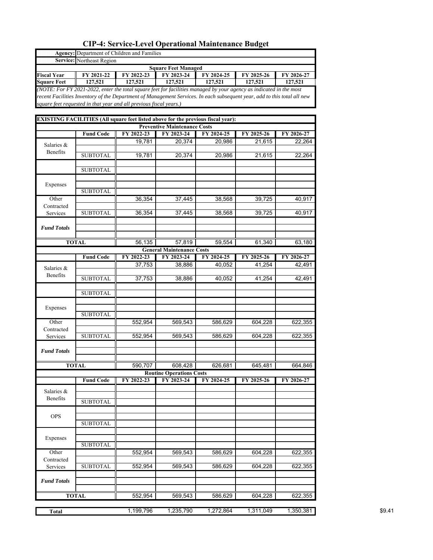| Service:           | Northeast Region |                                                                                                                                                                                                                                                                                                                                                                                                                                                                                                                                                                                                                                                                                                                                                                                                                                                                                                                                                                                                                                                                                                                                                                                                                                                                                                                                                                                                                                                                                                                                               |           |           |           |           |
|--------------------|------------------|-----------------------------------------------------------------------------------------------------------------------------------------------------------------------------------------------------------------------------------------------------------------------------------------------------------------------------------------------------------------------------------------------------------------------------------------------------------------------------------------------------------------------------------------------------------------------------------------------------------------------------------------------------------------------------------------------------------------------------------------------------------------------------------------------------------------------------------------------------------------------------------------------------------------------------------------------------------------------------------------------------------------------------------------------------------------------------------------------------------------------------------------------------------------------------------------------------------------------------------------------------------------------------------------------------------------------------------------------------------------------------------------------------------------------------------------------------------------------------------------------------------------------------------------------|-----------|-----------|-----------|-----------|
|                    |                  |                                                                                                                                                                                                                                                                                                                                                                                                                                                                                                                                                                                                                                                                                                                                                                                                                                                                                                                                                                                                                                                                                                                                                                                                                                                                                                                                                                                                                                                                                                                                               |           |           |           |           |
| <b>Fiscal Year</b> | FY 2021-22       |                                                                                                                                                                                                                                                                                                                                                                                                                                                                                                                                                                                                                                                                                                                                                                                                                                                                                                                                                                                                                                                                                                                                                                                                                                                                                                                                                                                                                                                                                                                                               |           |           |           |           |
| <b>Square Feet</b> | 127,521          |                                                                                                                                                                                                                                                                                                                                                                                                                                                                                                                                                                                                                                                                                                                                                                                                                                                                                                                                                                                                                                                                                                                                                                                                                                                                                                                                                                                                                                                                                                                                               |           |           |           |           |
|                    |                  | Agency: Department of Children and Families<br><b>Square Feet Managed</b><br>FY 2023-24<br>FY 2022-23<br>FY 2024-25<br>FY 2025-26<br>FY 2026-27<br>127,521<br>127,521<br>127,521<br>127,521<br>127,521<br>(NOTE: For FY 2021-2022, enter the total square feet for facilities managed by your agency as indicated in the most<br>recent Facilities Inventory of the Department of Management Services. In each subsequent year, add to this total all new<br>square feet requested in that year and all previous fiscal years.)<br>EXISTING FACILITIES (All square feet listed above for the previous fiscal year):<br><b>Preventive Maintenance Costs</b><br>FY 2022-23<br>FY 2023-24<br>FY 2024-25<br>FY 2025-26<br>FY 2026-27<br>19,781<br>20,374<br>20,986<br>21,615<br>22,264<br>19,781<br>20,374<br>20,986<br>21,615<br>22,264<br>36,354<br>37,445<br>39,725<br>38,568<br>40,917<br>36,354<br>37,445<br>39,725<br>38,568<br>40,917<br>56,135<br>57,819<br>59,554<br>61,340<br>63,180<br><b>General Maintenance Costs</b><br>FY 2022-23<br>FY 2023-24<br>FY 2024-25<br>FY 2025-26<br>FY 2026-27<br>37,753<br>38,886<br>40,052<br>41,254<br>42,491<br>37,753<br>38,886<br>40,052<br>41,254<br>42,491<br>552,954<br>569,543<br>586,629<br>604,228<br>622,355<br>552,954<br>569,543<br>586,629<br>604,228<br>622,355<br>664,846<br>590,707<br>608,428<br>626,681<br>645,481<br><b>Routine Operations Costs</b><br>FY 2023-24<br>FY 2022-23<br>FY 2024-25<br>FY 2025-26<br>FY 2026-27<br>552,954<br>569,543<br>604,228<br>622,355<br>586,629 |           |           |           |           |
|                    |                  |                                                                                                                                                                                                                                                                                                                                                                                                                                                                                                                                                                                                                                                                                                                                                                                                                                                                                                                                                                                                                                                                                                                                                                                                                                                                                                                                                                                                                                                                                                                                               |           |           |           |           |
|                    |                  |                                                                                                                                                                                                                                                                                                                                                                                                                                                                                                                                                                                                                                                                                                                                                                                                                                                                                                                                                                                                                                                                                                                                                                                                                                                                                                                                                                                                                                                                                                                                               |           |           |           |           |
|                    |                  |                                                                                                                                                                                                                                                                                                                                                                                                                                                                                                                                                                                                                                                                                                                                                                                                                                                                                                                                                                                                                                                                                                                                                                                                                                                                                                                                                                                                                                                                                                                                               |           |           |           |           |
|                    |                  |                                                                                                                                                                                                                                                                                                                                                                                                                                                                                                                                                                                                                                                                                                                                                                                                                                                                                                                                                                                                                                                                                                                                                                                                                                                                                                                                                                                                                                                                                                                                               |           |           |           |           |
|                    | <b>Fund Code</b> |                                                                                                                                                                                                                                                                                                                                                                                                                                                                                                                                                                                                                                                                                                                                                                                                                                                                                                                                                                                                                                                                                                                                                                                                                                                                                                                                                                                                                                                                                                                                               |           |           |           |           |
|                    |                  |                                                                                                                                                                                                                                                                                                                                                                                                                                                                                                                                                                                                                                                                                                                                                                                                                                                                                                                                                                                                                                                                                                                                                                                                                                                                                                                                                                                                                                                                                                                                               |           |           |           |           |
| Salaries &         |                  |                                                                                                                                                                                                                                                                                                                                                                                                                                                                                                                                                                                                                                                                                                                                                                                                                                                                                                                                                                                                                                                                                                                                                                                                                                                                                                                                                                                                                                                                                                                                               |           |           |           |           |
| Benefits           | <b>SUBTOTAL</b>  |                                                                                                                                                                                                                                                                                                                                                                                                                                                                                                                                                                                                                                                                                                                                                                                                                                                                                                                                                                                                                                                                                                                                                                                                                                                                                                                                                                                                                                                                                                                                               |           |           |           |           |
|                    |                  |                                                                                                                                                                                                                                                                                                                                                                                                                                                                                                                                                                                                                                                                                                                                                                                                                                                                                                                                                                                                                                                                                                                                                                                                                                                                                                                                                                                                                                                                                                                                               |           |           |           |           |
|                    | <b>SUBTOTAL</b>  |                                                                                                                                                                                                                                                                                                                                                                                                                                                                                                                                                                                                                                                                                                                                                                                                                                                                                                                                                                                                                                                                                                                                                                                                                                                                                                                                                                                                                                                                                                                                               |           |           |           |           |
|                    |                  |                                                                                                                                                                                                                                                                                                                                                                                                                                                                                                                                                                                                                                                                                                                                                                                                                                                                                                                                                                                                                                                                                                                                                                                                                                                                                                                                                                                                                                                                                                                                               |           |           |           |           |
| Expenses           |                  |                                                                                                                                                                                                                                                                                                                                                                                                                                                                                                                                                                                                                                                                                                                                                                                                                                                                                                                                                                                                                                                                                                                                                                                                                                                                                                                                                                                                                                                                                                                                               |           |           |           |           |
|                    | <b>SUBTOTAL</b>  |                                                                                                                                                                                                                                                                                                                                                                                                                                                                                                                                                                                                                                                                                                                                                                                                                                                                                                                                                                                                                                                                                                                                                                                                                                                                                                                                                                                                                                                                                                                                               |           |           |           |           |
| Other              |                  |                                                                                                                                                                                                                                                                                                                                                                                                                                                                                                                                                                                                                                                                                                                                                                                                                                                                                                                                                                                                                                                                                                                                                                                                                                                                                                                                                                                                                                                                                                                                               |           |           |           |           |
| Contracted         |                  |                                                                                                                                                                                                                                                                                                                                                                                                                                                                                                                                                                                                                                                                                                                                                                                                                                                                                                                                                                                                                                                                                                                                                                                                                                                                                                                                                                                                                                                                                                                                               |           |           |           |           |
| Services           | <b>SUBTOTAL</b>  |                                                                                                                                                                                                                                                                                                                                                                                                                                                                                                                                                                                                                                                                                                                                                                                                                                                                                                                                                                                                                                                                                                                                                                                                                                                                                                                                                                                                                                                                                                                                               |           |           |           |           |
|                    |                  |                                                                                                                                                                                                                                                                                                                                                                                                                                                                                                                                                                                                                                                                                                                                                                                                                                                                                                                                                                                                                                                                                                                                                                                                                                                                                                                                                                                                                                                                                                                                               |           |           |           |           |
| <b>Fund Totals</b> |                  |                                                                                                                                                                                                                                                                                                                                                                                                                                                                                                                                                                                                                                                                                                                                                                                                                                                                                                                                                                                                                                                                                                                                                                                                                                                                                                                                                                                                                                                                                                                                               |           |           |           |           |
|                    | <b>TOTAL</b>     |                                                                                                                                                                                                                                                                                                                                                                                                                                                                                                                                                                                                                                                                                                                                                                                                                                                                                                                                                                                                                                                                                                                                                                                                                                                                                                                                                                                                                                                                                                                                               |           |           |           |           |
|                    |                  |                                                                                                                                                                                                                                                                                                                                                                                                                                                                                                                                                                                                                                                                                                                                                                                                                                                                                                                                                                                                                                                                                                                                                                                                                                                                                                                                                                                                                                                                                                                                               |           |           |           |           |
|                    | <b>Fund Code</b> |                                                                                                                                                                                                                                                                                                                                                                                                                                                                                                                                                                                                                                                                                                                                                                                                                                                                                                                                                                                                                                                                                                                                                                                                                                                                                                                                                                                                                                                                                                                                               |           |           |           |           |
|                    |                  |                                                                                                                                                                                                                                                                                                                                                                                                                                                                                                                                                                                                                                                                                                                                                                                                                                                                                                                                                                                                                                                                                                                                                                                                                                                                                                                                                                                                                                                                                                                                               |           |           |           |           |
| Salaries &         |                  |                                                                                                                                                                                                                                                                                                                                                                                                                                                                                                                                                                                                                                                                                                                                                                                                                                                                                                                                                                                                                                                                                                                                                                                                                                                                                                                                                                                                                                                                                                                                               |           |           |           |           |
| Benefits           | <b>SUBTOTAL</b>  |                                                                                                                                                                                                                                                                                                                                                                                                                                                                                                                                                                                                                                                                                                                                                                                                                                                                                                                                                                                                                                                                                                                                                                                                                                                                                                                                                                                                                                                                                                                                               |           |           |           |           |
|                    |                  |                                                                                                                                                                                                                                                                                                                                                                                                                                                                                                                                                                                                                                                                                                                                                                                                                                                                                                                                                                                                                                                                                                                                                                                                                                                                                                                                                                                                                                                                                                                                               |           |           |           |           |
|                    | <b>SUBTOTAL</b>  |                                                                                                                                                                                                                                                                                                                                                                                                                                                                                                                                                                                                                                                                                                                                                                                                                                                                                                                                                                                                                                                                                                                                                                                                                                                                                                                                                                                                                                                                                                                                               |           |           |           |           |
|                    |                  |                                                                                                                                                                                                                                                                                                                                                                                                                                                                                                                                                                                                                                                                                                                                                                                                                                                                                                                                                                                                                                                                                                                                                                                                                                                                                                                                                                                                                                                                                                                                               |           |           |           |           |
| Expenses           |                  |                                                                                                                                                                                                                                                                                                                                                                                                                                                                                                                                                                                                                                                                                                                                                                                                                                                                                                                                                                                                                                                                                                                                                                                                                                                                                                                                                                                                                                                                                                                                               |           |           |           |           |
|                    | <b>SUBTOTAL</b>  |                                                                                                                                                                                                                                                                                                                                                                                                                                                                                                                                                                                                                                                                                                                                                                                                                                                                                                                                                                                                                                                                                                                                                                                                                                                                                                                                                                                                                                                                                                                                               |           |           |           |           |
| Other              |                  |                                                                                                                                                                                                                                                                                                                                                                                                                                                                                                                                                                                                                                                                                                                                                                                                                                                                                                                                                                                                                                                                                                                                                                                                                                                                                                                                                                                                                                                                                                                                               |           |           |           |           |
| Contracted         |                  |                                                                                                                                                                                                                                                                                                                                                                                                                                                                                                                                                                                                                                                                                                                                                                                                                                                                                                                                                                                                                                                                                                                                                                                                                                                                                                                                                                                                                                                                                                                                               |           |           |           |           |
| Services           | <b>SUBTOTAL</b>  |                                                                                                                                                                                                                                                                                                                                                                                                                                                                                                                                                                                                                                                                                                                                                                                                                                                                                                                                                                                                                                                                                                                                                                                                                                                                                                                                                                                                                                                                                                                                               |           |           |           |           |
|                    |                  |                                                                                                                                                                                                                                                                                                                                                                                                                                                                                                                                                                                                                                                                                                                                                                                                                                                                                                                                                                                                                                                                                                                                                                                                                                                                                                                                                                                                                                                                                                                                               |           |           |           |           |
| <b>Fund Totals</b> |                  |                                                                                                                                                                                                                                                                                                                                                                                                                                                                                                                                                                                                                                                                                                                                                                                                                                                                                                                                                                                                                                                                                                                                                                                                                                                                                                                                                                                                                                                                                                                                               |           |           |           |           |
|                    | <b>TOTAL</b>     |                                                                                                                                                                                                                                                                                                                                                                                                                                                                                                                                                                                                                                                                                                                                                                                                                                                                                                                                                                                                                                                                                                                                                                                                                                                                                                                                                                                                                                                                                                                                               |           |           |           |           |
|                    |                  |                                                                                                                                                                                                                                                                                                                                                                                                                                                                                                                                                                                                                                                                                                                                                                                                                                                                                                                                                                                                                                                                                                                                                                                                                                                                                                                                                                                                                                                                                                                                               |           |           |           |           |
|                    | <b>Fund Code</b> |                                                                                                                                                                                                                                                                                                                                                                                                                                                                                                                                                                                                                                                                                                                                                                                                                                                                                                                                                                                                                                                                                                                                                                                                                                                                                                                                                                                                                                                                                                                                               |           |           |           |           |
|                    |                  |                                                                                                                                                                                                                                                                                                                                                                                                                                                                                                                                                                                                                                                                                                                                                                                                                                                                                                                                                                                                                                                                                                                                                                                                                                                                                                                                                                                                                                                                                                                                               |           |           |           |           |
| Salaries &         |                  |                                                                                                                                                                                                                                                                                                                                                                                                                                                                                                                                                                                                                                                                                                                                                                                                                                                                                                                                                                                                                                                                                                                                                                                                                                                                                                                                                                                                                                                                                                                                               |           |           |           |           |
| Benefits           | <b>SUBTOTAL</b>  |                                                                                                                                                                                                                                                                                                                                                                                                                                                                                                                                                                                                                                                                                                                                                                                                                                                                                                                                                                                                                                                                                                                                                                                                                                                                                                                                                                                                                                                                                                                                               |           |           |           |           |
|                    |                  |                                                                                                                                                                                                                                                                                                                                                                                                                                                                                                                                                                                                                                                                                                                                                                                                                                                                                                                                                                                                                                                                                                                                                                                                                                                                                                                                                                                                                                                                                                                                               |           |           |           |           |
| <b>OPS</b>         |                  |                                                                                                                                                                                                                                                                                                                                                                                                                                                                                                                                                                                                                                                                                                                                                                                                                                                                                                                                                                                                                                                                                                                                                                                                                                                                                                                                                                                                                                                                                                                                               |           |           |           |           |
|                    | <b>SUBTOTAL</b>  |                                                                                                                                                                                                                                                                                                                                                                                                                                                                                                                                                                                                                                                                                                                                                                                                                                                                                                                                                                                                                                                                                                                                                                                                                                                                                                                                                                                                                                                                                                                                               |           |           |           |           |
|                    |                  |                                                                                                                                                                                                                                                                                                                                                                                                                                                                                                                                                                                                                                                                                                                                                                                                                                                                                                                                                                                                                                                                                                                                                                                                                                                                                                                                                                                                                                                                                                                                               |           |           |           |           |
| Expenses           |                  |                                                                                                                                                                                                                                                                                                                                                                                                                                                                                                                                                                                                                                                                                                                                                                                                                                                                                                                                                                                                                                                                                                                                                                                                                                                                                                                                                                                                                                                                                                                                               |           |           |           |           |
|                    | <b>SUBTOTAL</b>  |                                                                                                                                                                                                                                                                                                                                                                                                                                                                                                                                                                                                                                                                                                                                                                                                                                                                                                                                                                                                                                                                                                                                                                                                                                                                                                                                                                                                                                                                                                                                               |           |           |           |           |
| Other              |                  |                                                                                                                                                                                                                                                                                                                                                                                                                                                                                                                                                                                                                                                                                                                                                                                                                                                                                                                                                                                                                                                                                                                                                                                                                                                                                                                                                                                                                                                                                                                                               |           |           |           |           |
| Contracted         |                  |                                                                                                                                                                                                                                                                                                                                                                                                                                                                                                                                                                                                                                                                                                                                                                                                                                                                                                                                                                                                                                                                                                                                                                                                                                                                                                                                                                                                                                                                                                                                               |           |           |           |           |
| Services           | <b>SUBTOTAL</b>  | 552,954                                                                                                                                                                                                                                                                                                                                                                                                                                                                                                                                                                                                                                                                                                                                                                                                                                                                                                                                                                                                                                                                                                                                                                                                                                                                                                                                                                                                                                                                                                                                       | 569,543   | 586,629   | 604,228   | 622,355   |
| <b>Fund Totals</b> |                  |                                                                                                                                                                                                                                                                                                                                                                                                                                                                                                                                                                                                                                                                                                                                                                                                                                                                                                                                                                                                                                                                                                                                                                                                                                                                                                                                                                                                                                                                                                                                               |           |           |           |           |
|                    |                  |                                                                                                                                                                                                                                                                                                                                                                                                                                                                                                                                                                                                                                                                                                                                                                                                                                                                                                                                                                                                                                                                                                                                                                                                                                                                                                                                                                                                                                                                                                                                               |           |           |           |           |
|                    | <b>TOTAL</b>     | 552,954                                                                                                                                                                                                                                                                                                                                                                                                                                                                                                                                                                                                                                                                                                                                                                                                                                                                                                                                                                                                                                                                                                                                                                                                                                                                                                                                                                                                                                                                                                                                       | 569,543   | 586,629   | 604,228   | 622,355   |
|                    |                  |                                                                                                                                                                                                                                                                                                                                                                                                                                                                                                                                                                                                                                                                                                                                                                                                                                                                                                                                                                                                                                                                                                                                                                                                                                                                                                                                                                                                                                                                                                                                               |           |           |           |           |
| <b>Total</b>       |                  | 1,199,796                                                                                                                                                                                                                                                                                                                                                                                                                                                                                                                                                                                                                                                                                                                                                                                                                                                                                                                                                                                                                                                                                                                                                                                                                                                                                                                                                                                                                                                                                                                                     | 1,235,790 | 1,272,864 | 1,311,049 | 1,350,381 |
|                    |                  |                                                                                                                                                                                                                                                                                                                                                                                                                                                                                                                                                                                                                                                                                                                                                                                                                                                                                                                                                                                                                                                                                                                                                                                                                                                                                                                                                                                                                                                                                                                                               |           |           |           |           |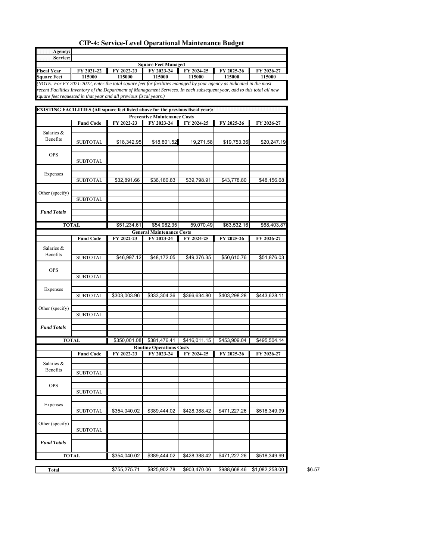| Agency:                |                  |                                                                                                                          |                                                   |              |              |                |
|------------------------|------------------|--------------------------------------------------------------------------------------------------------------------------|---------------------------------------------------|--------------|--------------|----------------|
| Service:               |                  |                                                                                                                          |                                                   |              |              |                |
| <b>Fiscal Year</b>     | FY 2021-22       | FY 2022-23                                                                                                               | <b>Square Feet Managed</b><br>FY 2023-24          | FY 2024-25   | FY 2025-26   | FY 2026-27     |
| <b>Square Feet</b>     | 115000           | 115000                                                                                                                   | 115000                                            | 115000       | 115000       | 115000         |
|                        |                  | (NOTE: For FY 2021-2022, enter the total square feet for facilities managed by your agency as indicated in the most      |                                                   |              |              |                |
|                        |                  | recent Facilities Inventory of the Department of Management Services. In each subsequent year, add to this total all new |                                                   |              |              |                |
|                        |                  | square feet requested in that year and all previous fiscal years.)                                                       |                                                   |              |              |                |
|                        |                  |                                                                                                                          |                                                   |              |              |                |
|                        |                  | EXISTING FACILITIES (All square feet listed above for the previous fiscal year):                                         |                                                   |              |              |                |
|                        | <b>Fund Code</b> | FY 2022-23                                                                                                               | <b>Preventive Maintenance Costs</b><br>FY 2023-24 | FY 2024-25   | FY 2025-26   | FY 2026-27     |
|                        |                  |                                                                                                                          |                                                   |              |              |                |
| Salaries &             |                  |                                                                                                                          |                                                   |              |              |                |
| Benefits               | <b>SUBTOTAL</b>  | \$18,342.95                                                                                                              | \$18,801.52                                       | 19,271.58    | \$19,753.36  | \$20,247.19    |
|                        |                  |                                                                                                                          |                                                   |              |              |                |
| <b>OPS</b>             | <b>SUBTOTAL</b>  |                                                                                                                          |                                                   |              |              |                |
|                        |                  |                                                                                                                          |                                                   |              |              |                |
| Expenses               |                  |                                                                                                                          |                                                   |              |              |                |
|                        | <b>SUBTOTAL</b>  | \$32,891.66                                                                                                              | \$36,180.83                                       | \$39,798.91  | \$43,778.80  | \$48,156.68    |
|                        |                  |                                                                                                                          |                                                   |              |              |                |
| Other (specify)        |                  |                                                                                                                          |                                                   |              |              |                |
|                        | <b>SUBTOTAL</b>  |                                                                                                                          |                                                   |              |              |                |
| <b>Fund Totals</b>     |                  |                                                                                                                          |                                                   |              |              |                |
|                        |                  |                                                                                                                          |                                                   |              |              |                |
|                        | <b>TOTAL</b>     | \$51,234.61                                                                                                              | \$54,982.35                                       | 59,070.49    | \$63,532.16  | \$68,403.87    |
|                        |                  |                                                                                                                          | <b>General Maintenance Costs</b>                  |              |              |                |
|                        | <b>Fund Code</b> | FY 2022-23                                                                                                               | FY 2023-24                                        | FY 2024-25   | FY 2025-26   | FY 2026-27     |
| Salaries &             |                  |                                                                                                                          |                                                   |              |              |                |
| Benefits               | <b>SUBTOTAL</b>  | \$46,997.12                                                                                                              | \$48,172.05                                       | \$49,376.35  | \$50,610.76  | \$51,876.03    |
|                        |                  |                                                                                                                          |                                                   |              |              |                |
| <b>OPS</b>             |                  |                                                                                                                          |                                                   |              |              |                |
|                        | <b>SUBTOTAL</b>  |                                                                                                                          |                                                   |              |              |                |
|                        |                  |                                                                                                                          |                                                   |              |              |                |
| Expenses               | <b>SUBTOTAL</b>  | \$303,003.96                                                                                                             | \$333,304.36                                      | \$366,634.80 | \$403,298.28 | \$443,628.11   |
|                        |                  |                                                                                                                          |                                                   |              |              |                |
| Other (specify)        |                  |                                                                                                                          |                                                   |              |              |                |
|                        | <b>SUBTOTAL</b>  |                                                                                                                          |                                                   |              |              |                |
|                        |                  |                                                                                                                          |                                                   |              |              |                |
| <b>Fund Totals</b>     |                  |                                                                                                                          |                                                   |              |              |                |
|                        | <b>TOTAL</b>     | \$350,001.08                                                                                                             | \$381,476.41                                      | \$416,011.15 | \$453,909.04 | \$495,504.14   |
|                        |                  |                                                                                                                          | <b>Routine Operations Costs</b>                   |              |              |                |
|                        | <b>Fund Code</b> | FY 2022-23                                                                                                               | FY 2023-24                                        | FY 2024-25   | FY 2025-26   | FY 2026-27     |
|                        |                  |                                                                                                                          |                                                   |              |              |                |
| Salaries &<br>Benefits |                  |                                                                                                                          |                                                   |              |              |                |
|                        | <b>SUBTOTAL</b>  |                                                                                                                          |                                                   |              |              |                |
|                        |                  |                                                                                                                          |                                                   |              |              |                |
| <b>OPS</b>             | <b>SUBTOTAL</b>  |                                                                                                                          |                                                   |              |              |                |
|                        |                  |                                                                                                                          |                                                   |              |              |                |
| Expenses               |                  |                                                                                                                          |                                                   |              |              |                |
|                        | <b>SUBTOTAL</b>  | \$354,040.02                                                                                                             | \$389,444.02                                      | \$428,388.42 | \$471,227.26 | \$518,349.99   |
|                        |                  |                                                                                                                          |                                                   |              |              |                |
| Other (specify)        |                  |                                                                                                                          |                                                   |              |              |                |
|                        | <b>SUBTOTAL</b>  |                                                                                                                          |                                                   |              |              |                |
| <b>Fund Totals</b>     |                  |                                                                                                                          |                                                   |              |              |                |
|                        |                  |                                                                                                                          |                                                   |              |              |                |
|                        | <b>TOTAL</b>     | \$354,040.02                                                                                                             | \$389,444.02                                      | \$428,388.42 | \$471,227.26 | \$518,349.99   |
|                        |                  |                                                                                                                          |                                                   |              |              |                |
| <b>Total</b>           |                  | \$755,275.71                                                                                                             | \$825,902.78                                      | \$903,470.06 | \$988,668.46 | \$1,082,258.00 |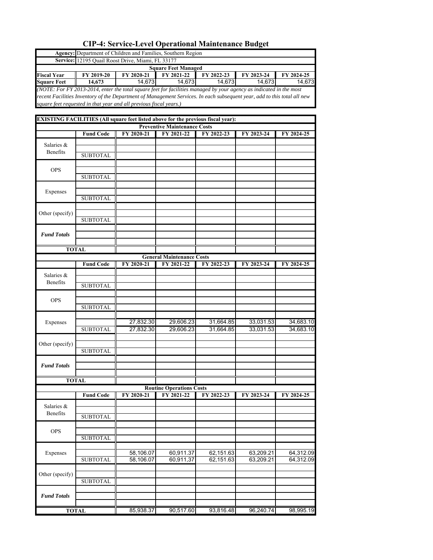|                                          | Agency: Department of Children and Families, Southern Region                                                             |                                  |                                                   |                        |                        |                        |
|------------------------------------------|--------------------------------------------------------------------------------------------------------------------------|----------------------------------|---------------------------------------------------|------------------------|------------------------|------------------------|
|                                          | Service: 12195 Quail Roost Drive, Miami, FL 33177                                                                        |                                  |                                                   |                        |                        |                        |
|                                          |                                                                                                                          | $\overline{\mathrm{FY}}$ 2020-21 | <b>Square Feet Managed</b><br>FY 2021-22          |                        |                        |                        |
| <b>Fiscal Year</b><br><b>Square Feet</b> | FY 2019-20<br>14,673                                                                                                     | 14,673                           | 14,673                                            | FY 2022-23<br>14,673   | FY 2023-24<br>14,673   | FY 2024-25<br>14,673   |
|                                          | (NOTE: For FY 2013-2014, enter the total square feet for facilities managed by your agency as indicated in the most      |                                  |                                                   |                        |                        |                        |
|                                          | recent Facilities Inventory of the Department of Management Services. In each subsequent year, add to this total all new |                                  |                                                   |                        |                        |                        |
|                                          | square feet requested in that year and all previous fiscal years.)                                                       |                                  |                                                   |                        |                        |                        |
|                                          |                                                                                                                          |                                  |                                                   |                        |                        |                        |
|                                          | EXISTING FACILITIES (All square feet listed above for the previous fiscal year):                                         |                                  |                                                   |                        |                        |                        |
|                                          | <b>Fund Code</b>                                                                                                         | FY 2020-21                       | <b>Preventive Maintenance Costs</b><br>FY 2021-22 | FY 2022-23             | FY 2023-24             | FY 2024-25             |
|                                          |                                                                                                                          |                                  |                                                   |                        |                        |                        |
| Salaries &<br>Benefits                   |                                                                                                                          |                                  |                                                   |                        |                        |                        |
|                                          | <b>SUBTOTAL</b>                                                                                                          |                                  |                                                   |                        |                        |                        |
|                                          |                                                                                                                          |                                  |                                                   |                        |                        |                        |
| <b>OPS</b>                               | <b>SUBTOTAL</b>                                                                                                          |                                  |                                                   |                        |                        |                        |
|                                          |                                                                                                                          |                                  |                                                   |                        |                        |                        |
| Expenses                                 |                                                                                                                          |                                  |                                                   |                        |                        |                        |
|                                          | <b>SUBTOTAL</b>                                                                                                          |                                  |                                                   |                        |                        |                        |
|                                          |                                                                                                                          |                                  |                                                   |                        |                        |                        |
| Other (specify)                          | <b>SUBTOTAL</b>                                                                                                          |                                  |                                                   |                        |                        |                        |
|                                          |                                                                                                                          |                                  |                                                   |                        |                        |                        |
| <b>Fund Totals</b>                       |                                                                                                                          |                                  |                                                   |                        |                        |                        |
|                                          |                                                                                                                          |                                  |                                                   |                        |                        |                        |
|                                          | <b>TOTAL</b>                                                                                                             |                                  |                                                   |                        |                        |                        |
|                                          |                                                                                                                          |                                  | <b>General Maintenance Costs</b>                  |                        |                        |                        |
|                                          | <b>Fund Code</b>                                                                                                         | FY 2020-21                       | FY 2021-22                                        | FY 2022-23             | FY 2023-24             | FY 2024-25             |
| Salaries &                               |                                                                                                                          |                                  |                                                   |                        |                        |                        |
| Benefits                                 | <b>SUBTOTAL</b>                                                                                                          |                                  |                                                   |                        |                        |                        |
|                                          |                                                                                                                          |                                  |                                                   |                        |                        |                        |
| <b>OPS</b>                               |                                                                                                                          |                                  |                                                   |                        |                        |                        |
|                                          | <b>SUBTOTAL</b>                                                                                                          |                                  |                                                   |                        |                        |                        |
| Expenses                                 |                                                                                                                          | 27,832.30                        | 29,606.23                                         | 31,664.85              | 33,031.53              | 34,683.10              |
|                                          | <b>SUBTOTAL</b>                                                                                                          | 27,832.30                        | 29,606.23                                         | 31,664.85              | 33,031.53              | 34,683.10              |
|                                          |                                                                                                                          |                                  |                                                   |                        |                        |                        |
| Other (specify)                          |                                                                                                                          |                                  |                                                   |                        |                        |                        |
|                                          | <b>SUBTOTAL</b>                                                                                                          |                                  |                                                   |                        |                        |                        |
| <b>Fund Totals</b>                       |                                                                                                                          |                                  |                                                   |                        |                        |                        |
|                                          |                                                                                                                          |                                  |                                                   |                        |                        |                        |
|                                          | <b>TOTAL</b>                                                                                                             |                                  |                                                   |                        |                        |                        |
|                                          |                                                                                                                          |                                  | <b>Routine Operations Costs</b>                   |                        |                        |                        |
|                                          | <b>Fund Code</b>                                                                                                         | FY 2020-21                       | FY 2021-22                                        | FY 2022-23             | FY 2023-24             | FY 2024-25             |
| Salaries &                               |                                                                                                                          |                                  |                                                   |                        |                        |                        |
| Benefits                                 | <b>SUBTOTAL</b>                                                                                                          |                                  |                                                   |                        |                        |                        |
|                                          |                                                                                                                          |                                  |                                                   |                        |                        |                        |
| <b>OPS</b>                               |                                                                                                                          |                                  |                                                   |                        |                        |                        |
|                                          | <b>SUBTOTAL</b>                                                                                                          |                                  |                                                   |                        |                        |                        |
|                                          |                                                                                                                          |                                  |                                                   |                        |                        |                        |
| Expenses                                 | <b>SUBTOTAL</b>                                                                                                          | 58,106.07<br>58,106.07           | 60,911.37<br>60,911,37                            | 62,151.63<br>62,151.63 | 63,209.21<br>63,209.21 | 64,312.09<br>64,312.09 |
|                                          |                                                                                                                          |                                  |                                                   |                        |                        |                        |
| Other (specify)                          |                                                                                                                          |                                  |                                                   |                        |                        |                        |
|                                          | <b>SUBTOTAL</b>                                                                                                          |                                  |                                                   |                        |                        |                        |
|                                          |                                                                                                                          |                                  |                                                   |                        |                        |                        |
| <b>Fund Totals</b>                       |                                                                                                                          |                                  |                                                   |                        |                        |                        |
|                                          | <b>TOTAL</b>                                                                                                             | 85,938.37                        | 90,517.60                                         | 93,816.48              | 96,240.74              | 98,995.19              |
|                                          |                                                                                                                          |                                  |                                                   |                        |                        |                        |